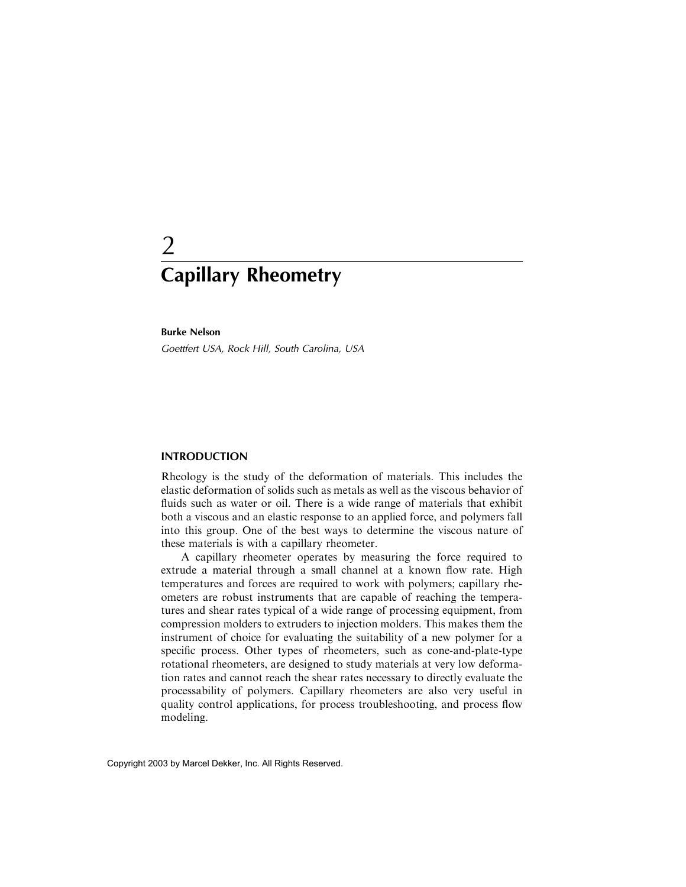# 2 Capillary Rheometry

#### Burke Nelson

Goettfert USA, Rock Hill, South Carolina, USA

#### INTRODUCTION

Rheology is the study of the deformation of materials. This includes the elastic deformation of solids such as metals as well as the viscous behavior of fluids such as water or oil. There is a wide range of materials that exhibit both a viscous and an elastic response to an applied force, and polymers fall into this group. One of the best ways to determine the viscous nature of these materials is with a capillary rheometer.

A capillary rheometer operates by measuring the force required to extrude a material through a small channel at a known flow rate. High temperatures and forces are required to work with polymers; capillary rheometers are robust instruments that are capable of reaching the temperatures and shear rates typical of a wide range of processing equipment, from compression molders to extruders to injection molders. This makes them the instrument of choice for evaluating the suitability of a new polymer for a specific process. Other types of rheometers, such as cone-and-plate-type rotational rheometers, are designed to study materials at very low deformation rates and cannot reach the shear rates necessary to directly evaluate the processability of polymers. Capillary rheometers are also very useful in quality control applications, for process troubleshooting, and process flow modeling.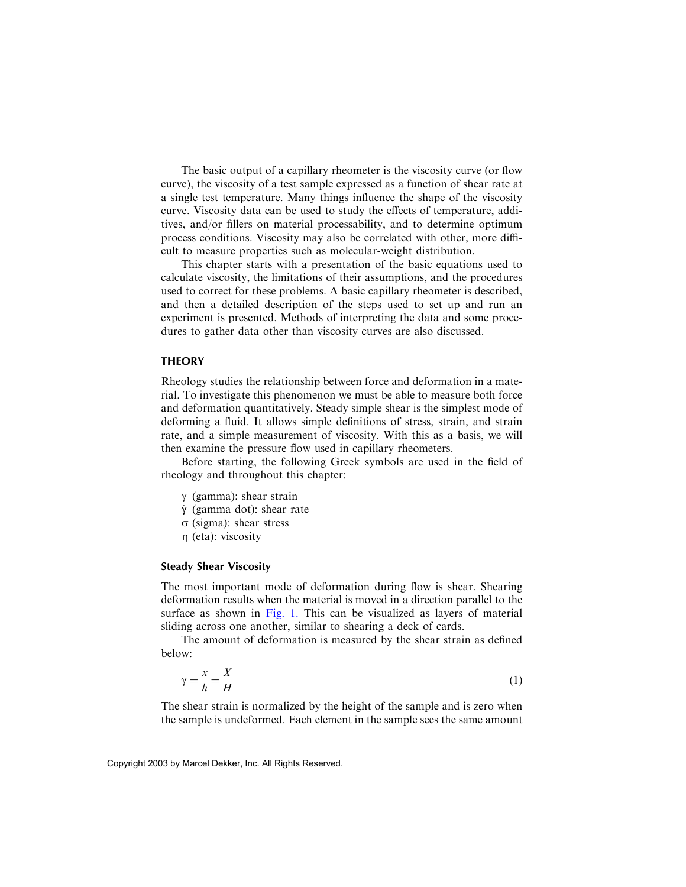The basic output of a capillary rheometer is the viscosity curve (or flow curve), the viscosity of a test sample expressed as a function of shear rate at a single test temperature. Many things influence the shape of the viscosity curve. Viscosity data can be used to study the effects of temperature, additives, and/or fillers on material processability, and to determine optimum process conditions. Viscosity may also be correlated with other, more difficult to measure properties such as molecular-weight distribution.

This chapter starts with a presentation of the basic equations used to calculate viscosity, the limitations of their assumptions, and the procedures used to correct for these problems. A basic capillary rheometer is described, and then a detailed description of the steps used to set up and run an experiment is presented. Methods of interpreting the data and some procedures to gather data other than viscosity curves are also discussed.

#### **THEORY**

Rheology studies the relationship between force and deformation in a material. To investigate this phenomenon we must be able to measure both force and deformation quantitatively. Steady simple shear is the simplest mode of deforming a fluid. It allows simple definitions of stress, strain, and strain rate, and a simple measurement of viscosity. With this as a basis, we will then examine the pressure flow used in capillary rheometers.

Before starting, the following Greek symbols are used in the field of rheology and throughout this chapter:

- $\gamma$  (gamma): shear strain
- $\dot{\gamma}$  (gamma dot): shear rate
- $\sigma$  (sigma): shear stress
- $\eta$  (eta): viscosity

#### Steady Shear Viscosity

The most important mode of deformation during flow is shear. Shearing deformation results when the material is moved in a direction parallel to the surface as shown in [Fig. 1.](#page-2-0) This can be visualized as layers of material sliding across one another, similar to shearing a deck of cards.

The amount of deformation is measured by the shear strain as defined below:

$$
\gamma = \frac{x}{h} = \frac{X}{H} \tag{1}
$$

The shear strain is normalized by the height of the sample and is zero when the sample is undeformed. Each element in the sample sees the same amount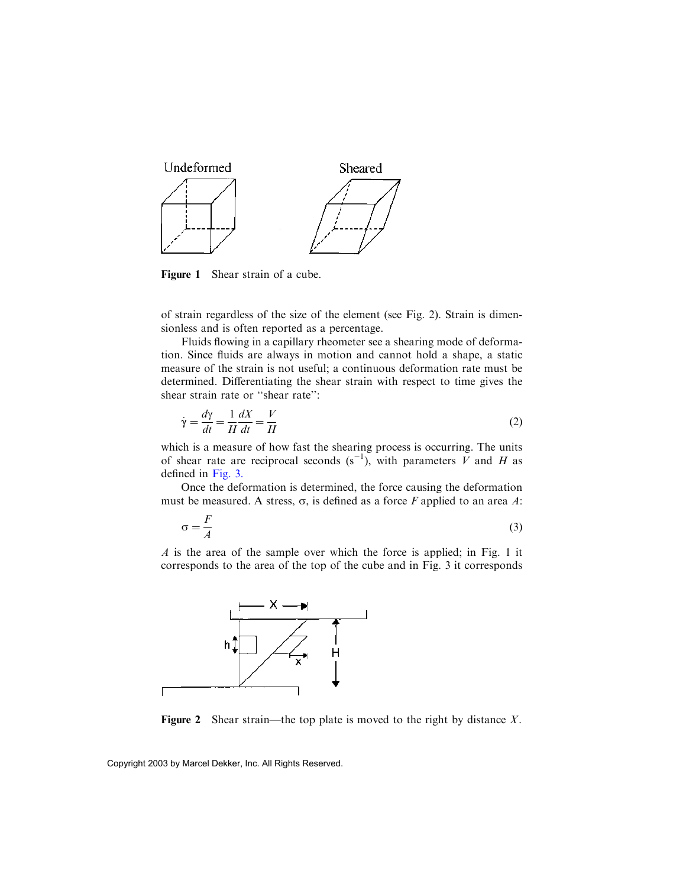<span id="page-2-0"></span>

Figure 1 Shear strain of a cube.

of strain regardless of the size of the element (see Fig. 2). Strain is dimensionless and is often reported as a percentage.

Fluids flowing in a capillary rheometer see a shearing mode of deformation. Since fluids are always in motion and cannot hold a shape, a static measure of the strain is not useful; a continuous deformation rate must be determined. Differentiating the shear strain with respect to time gives the shear strain rate or ''shear rate'':

$$
\dot{\gamma} = \frac{d\gamma}{dt} = \frac{1}{H}\frac{dX}{dt} = \frac{V}{H}
$$
\n(2)

which is a measure of how fast the shearing process is occurring. The units of shear rate are reciprocal seconds  $(s^{-1})$ , with parameters V and H as defined in [Fig. 3.](#page-3-0)

Once the deformation is determined, the force causing the deformation must be measured. A stress,  $\sigma$ , is defined as a force F applied to an area A:

$$
\sigma = \frac{F}{A} \tag{3}
$$

A is the area of the sample over which the force is applied; in Fig. 1 it corresponds to the area of the top of the cube and in Fig. 3 it corresponds



**Figure 2** Shear strain—the top plate is moved to the right by distance  $X$ .

Copyright 2003 by Marcel Dekker, Inc. All Rights Reserved.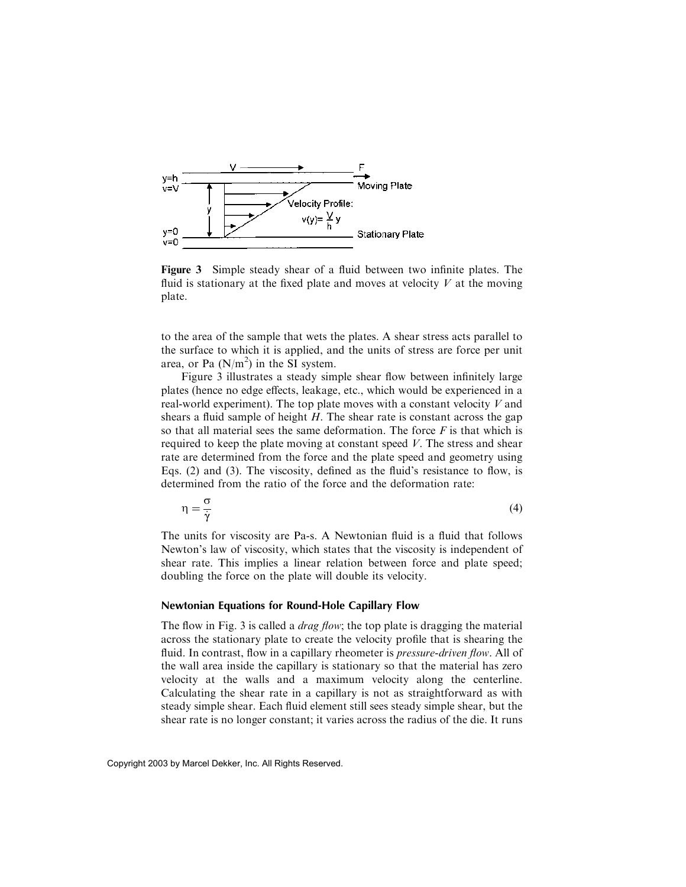<span id="page-3-0"></span>

Figure 3 Simple steady shear of a fluid between two infinite plates. The fluid is stationary at the fixed plate and moves at velocity  $V$  at the moving plate.

to the area of the sample that wets the plates. A shear stress acts parallel to the surface to which it is applied, and the units of stress are force per unit area, or Pa  $(N/m^2)$  in the SI system.

Figure 3 illustrates a steady simple shear flow between infinitely large plates (hence no edge effects, leakage, etc., which would be experienced in a real-world experiment). The top plate moves with a constant velocity  $V$  and shears a fluid sample of height  $H$ . The shear rate is constant across the gap so that all material sees the same deformation. The force  $F$  is that which is required to keep the plate moving at constant speed  $V$ . The stress and shear rate are determined from the force and the plate speed and geometry using Eqs. (2) and (3). The viscosity, defined as the fluid's resistance to flow, is determined from the ratio of the force and the deformation rate:

$$
\eta = \frac{\sigma}{\dot{\gamma}}
$$
 (4)

The units for viscosity are Pa-s. A Newtonian fluid is a fluid that follows Newton's law of viscosity, which states that the viscosity is independent of shear rate. This implies a linear relation between force and plate speed; doubling the force on the plate will double its velocity.

#### Newtonian Equations for Round-Hole Capillary Flow

The flow in Fig. 3 is called a *drag flow*; the top plate is dragging the material across the stationary plate to create the velocity profile that is shearing the fluid. In contrast, flow in a capillary rheometer is *pressure-driven flow*. All of the wall area inside the capillary is stationary so that the material has zero velocity at the walls and a maximum velocity along the centerline. Calculating the shear rate in a capillary is not as straightforward as with steady simple shear. Each fluid element still sees steady simple shear, but the shear rate is no longer constant; it varies across the radius of the die. It runs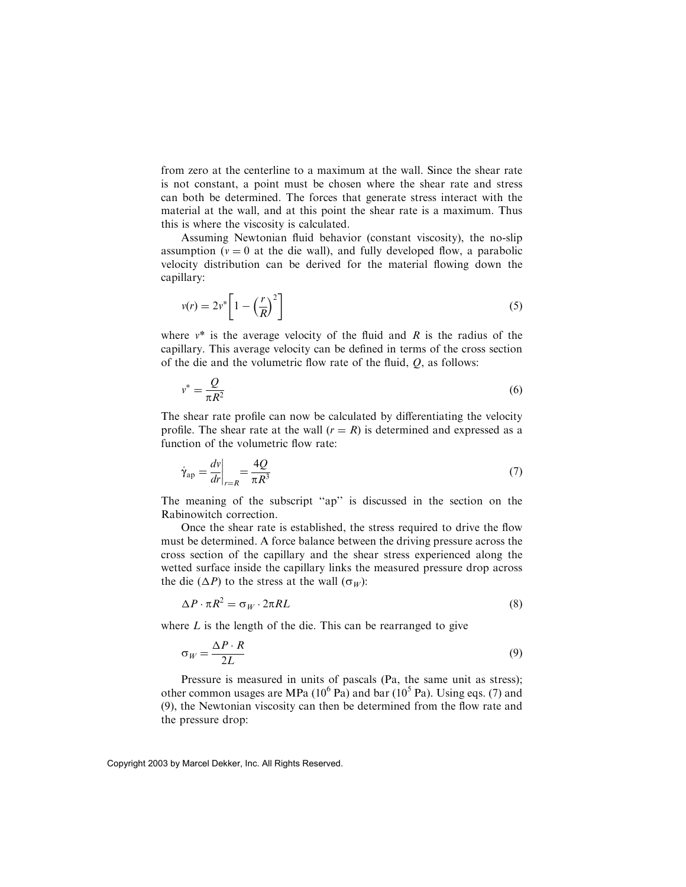from zero at the centerline to a maximum at the wall. Since the shear rate is not constant, a point must be chosen where the shear rate and stress can both be determined. The forces that generate stress interact with the material at the wall, and at this point the shear rate is a maximum. Thus this is where the viscosity is calculated.

Assuming Newtonian fluid behavior (constant viscosity), the no-slip assumption ( $v = 0$  at the die wall), and fully developed flow, a parabolic velocity distribution can be derived for the material flowing down the capillary:

$$
v(r) = 2v^* \left[ 1 - \left(\frac{r}{R}\right)^2 \right] \tag{5}
$$

where  $v^*$  is the average velocity of the fluid and R is the radius of the capillary. This average velocity can be defined in terms of the cross section of the die and the volumetric flow rate of the fluid,  $Q$ , as follows:

$$
v^* = \frac{Q}{\pi R^2} \tag{6}
$$

The shear rate profile can now be calculated by differentiating the velocity profile. The shear rate at the wall  $(r = R)$  is determined and expressed as a function of the volumetric flow rate:

$$
\dot{\gamma}_{\rm ap} = \frac{dv}{dr}\bigg|_{r=R} = \frac{4Q}{\pi R^3} \tag{7}
$$

The meaning of the subscript ''ap'' is discussed in the section on the Rabinowitch correction.

Once the shear rate is established, the stress required to drive the flow must be determined. A force balance between the driving pressure across the cross section of the capillary and the shear stress experienced along the wetted surface inside the capillary links the measured pressure drop across the die  $(\Delta P)$  to the stress at the wall  $(\sigma_W)$ :

$$
\Delta P \cdot \pi R^2 = \sigma_W \cdot 2\pi R L \tag{8}
$$

where  $L$  is the length of the die. This can be rearranged to give

$$
\sigma_W = \frac{\Delta P \cdot R}{2L} \tag{9}
$$

Pressure is measured in units of pascals (Pa, the same unit as stress); other common usages are MPa ( $10^6$  Pa) and bar ( $10^5$  Pa). Using eqs. (7) and (9), the Newtonian viscosity can then be determined from the flow rate and the pressure drop: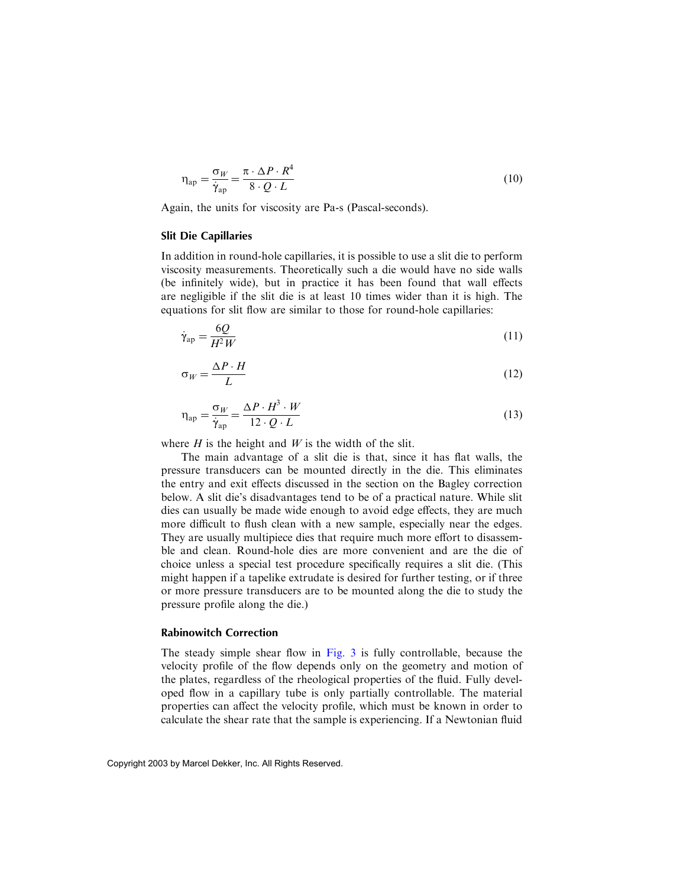$$
\eta_{\rm ap} = \frac{\sigma_W}{\dot{\gamma}_{\rm ap}} = \frac{\pi \cdot \Delta P \cdot R^4}{8 \cdot Q \cdot L} \tag{10}
$$

Again, the units for viscosity are Pa-s (Pascal-seconds).

## Slit Die Capillaries

In addition in round-hole capillaries, it is possible to use a slit die to perform viscosity measurements. Theoretically such a die would have no side walls (be infinitely wide), but in practice it has been found that wall effects are negligible if the slit die is at least 10 times wider than it is high. The equations for slit flow are similar to those for round-hole capillaries:

$$
\dot{\gamma}_{\rm ap} = \frac{6Q}{H^2 W} \tag{11}
$$

$$
\sigma_W = \frac{\Delta P \cdot H}{L} \tag{12}
$$

$$
\eta_{\rm ap} = \frac{\sigma_W}{\dot{\gamma}_{\rm ap}} = \frac{\Delta P \cdot H^3 \cdot W}{12 \cdot Q \cdot L} \tag{13}
$$

where  $H$  is the height and  $W$  is the width of the slit.

The main advantage of a slit die is that, since it has flat walls, the pressure transducers can be mounted directly in the die. This eliminates the entry and exit effects discussed in the section on the Bagley correction below. A slit die's disadvantages tend to be of a practical nature. While slit dies can usually be made wide enough to avoid edge effects, they are much more difficult to flush clean with a new sample, especially near the edges. They are usually multipiece dies that require much more effort to disassemble and clean. Round-hole dies are more convenient and are the die of choice unless a special test procedure specifically requires a slit die. (This might happen if a tapelike extrudate is desired for further testing, or if three or more pressure transducers are to be mounted along the die to study the pressure profile along the die.)

#### Rabinowitch Correction

The steady simple shear flow in [Fig. 3](#page-3-0) is fully controllable, because the velocity profile of the flow depends only on the geometry and motion of the plates, regardless of the rheological properties of the fluid. Fully developed flow in a capillary tube is only partially controllable. The material properties can affect the velocity profile, which must be known in order to calculate the shear rate that the sample is experiencing. If a Newtonian fluid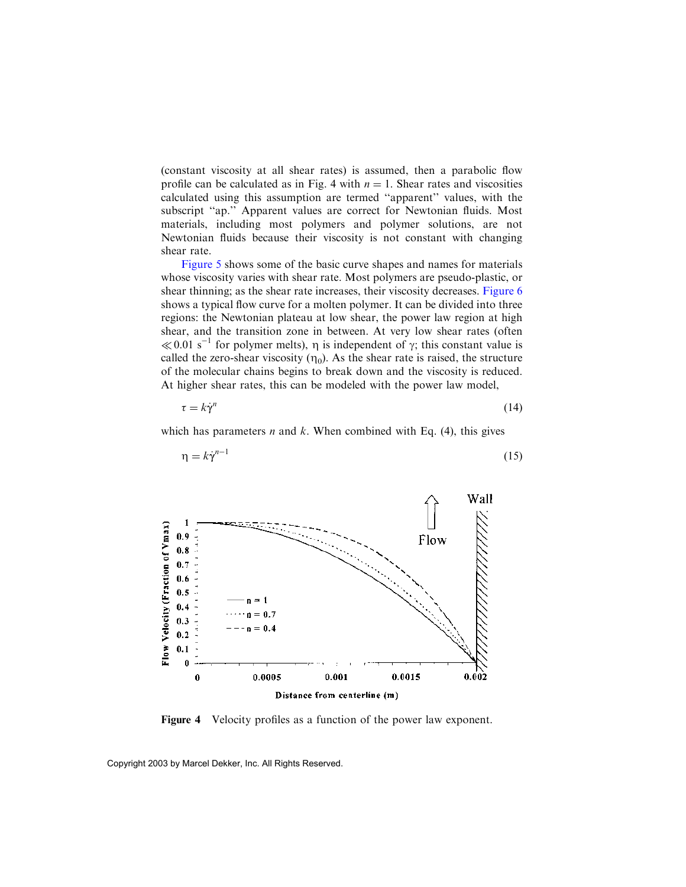(constant viscosity at all shear rates) is assumed, then a parabolic flow profile can be calculated as in Fig. 4 with  $n = 1$ . Shear rates and viscosities calculated using this assumption are termed ''apparent'' values, with the subscript "ap." Apparent values are correct for Newtonian fluids. Most materials, including most polymers and polymer solutions, are not Newtonian fluids because their viscosity is not constant with changing shear rate.

[Figure 5](#page-7-0) shows some of the basic curve shapes and names for materials whose viscosity varies with shear rate. Most polymers are pseudo-plastic, or shear thinning; as the shear rate increases, their viscosity decreases. [Figure 6](#page-7-0) shows a typical flow curve for a molten polymer. It can be divided into three regions: the Newtonian plateau at low shear, the power law region at high shear, and the transition zone in between. At very low shear rates (often  $\ll 0.01$  s<sup>-1</sup> for polymer melts),  $\eta$  is independent of  $\gamma$ ; this constant value is called the zero-shear viscosity  $(\eta_0)$ . As the shear rate is raised, the structure of the molecular chains begins to break down and the viscosity is reduced. At higher shear rates, this can be modeled with the power law model,

$$
\tau = k\dot{\gamma}^n \tag{14}
$$

which has parameters *n* and *k*. When combined with Eq.  $(4)$ , this gives



$$
\eta = k\dot{\gamma}^{n-1} \tag{15}
$$

Figure 4 Velocity profiles as a function of the power law exponent.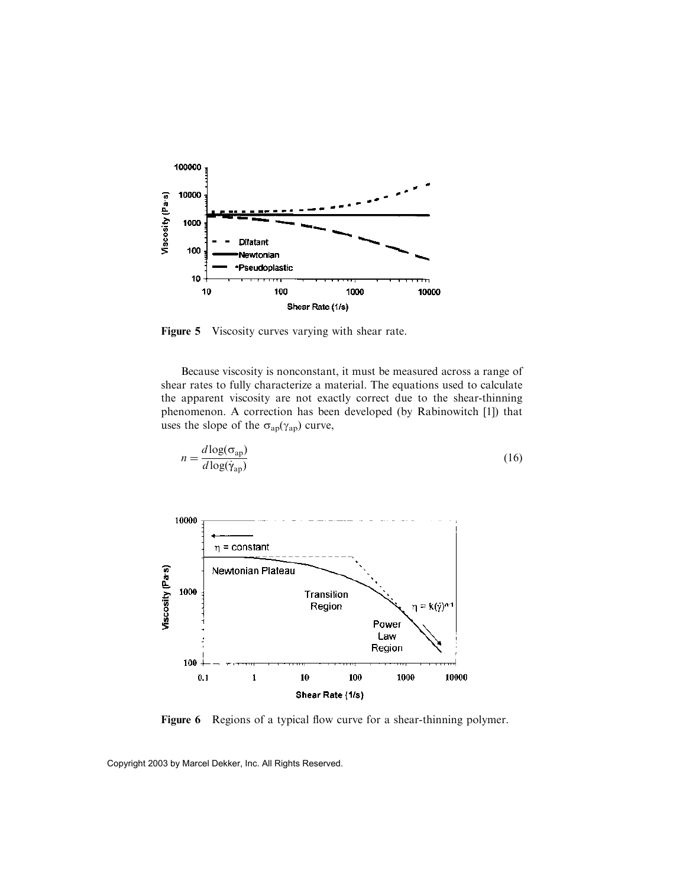<span id="page-7-0"></span>

Figure 5 Viscosity curves varying with shear rate.

Because viscosity is nonconstant, it must be measured across a range of shear rates to fully characterize a material. The equations used to calculate the apparent viscosity are not exactly correct due to the shear-thinning phenomenon. A correction has been developed (by Rabinowitch [1]) that uses the slope of the  $\sigma_{ap}(\gamma_{ap})$  curve,

$$
n = \frac{d \log(\sigma_{\rm ap})}{d \log(\dot{\gamma}_{\rm ap})}
$$
(16)



Figure 6 Regions of a typical flow curve for a shear-thinning polymer.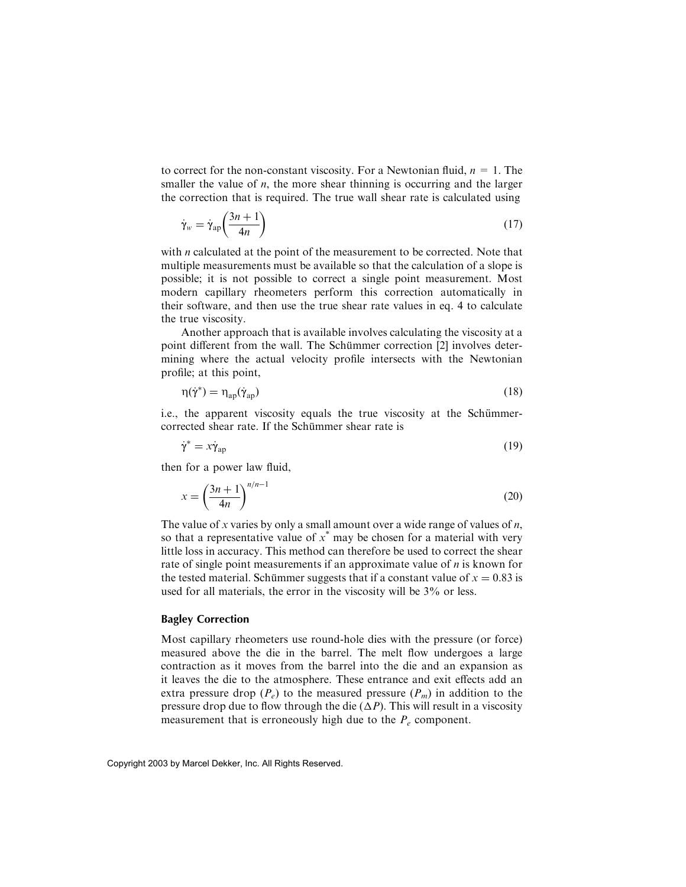to correct for the non-constant viscosity. For a Newtonian fluid,  $n = 1$ . The smaller the value of  $n$ , the more shear thinning is occurring and the larger the correction that is required. The true wall shear rate is calculated using

$$
\dot{\gamma}_w = \dot{\gamma}_{ap} \left( \frac{3n+1}{4n} \right) \tag{17}
$$

with *n* calculated at the point of the measurement to be corrected. Note that multiple measurements must be available so that the calculation of a slope is possible; it is not possible to correct a single point measurement. Most modern capillary rheometers perform this correction automatically in their software, and then use the true shear rate values in eq. 4 to calculate the true viscosity.

Another approach that is available involves calculating the viscosity at a point different from the wall. The Schümmer correction [2] involves determining where the actual velocity profile intersects with the Newtonian profile; at this point,

$$
\eta(\dot{\gamma}^*) = \eta_{\rm ap}(\dot{\gamma}_{\rm ap})\tag{18}
$$

i.e., the apparent viscosity equals the true viscosity at the Schümmercorrected shear rate. If the Schümmer shear rate is

$$
\dot{\gamma}^* = x \dot{\gamma}_{\rm ap} \tag{19}
$$

then for a power law fluid,

$$
x = \left(\frac{3n+1}{4n}\right)^{n/n-1} \tag{20}
$$

The value of x varies by only a small amount over a wide range of values of  $n$ , so that a representative value of  $x^*$  may be chosen for a material with very little loss in accuracy. This method can therefore be used to correct the shear rate of single point measurements if an approximate value of  $n$  is known for the tested material. Schümmer suggests that if a constant value of  $x = 0.83$  is used for all materials, the error in the viscosity will be 3% or less.

#### Bagley Correction

Most capillary rheometers use round-hole dies with the pressure (or force) measured above the die in the barrel. The melt flow undergoes a large contraction as it moves from the barrel into the die and an expansion as it leaves the die to the atmosphere. These entrance and exit effects add an extra pressure drop  $(P_e)$  to the measured pressure  $(P_m)$  in addition to the pressure drop due to flow through the die  $(\Delta P)$ . This will result in a viscosity measurement that is erroneously high due to the  $P_e$  component.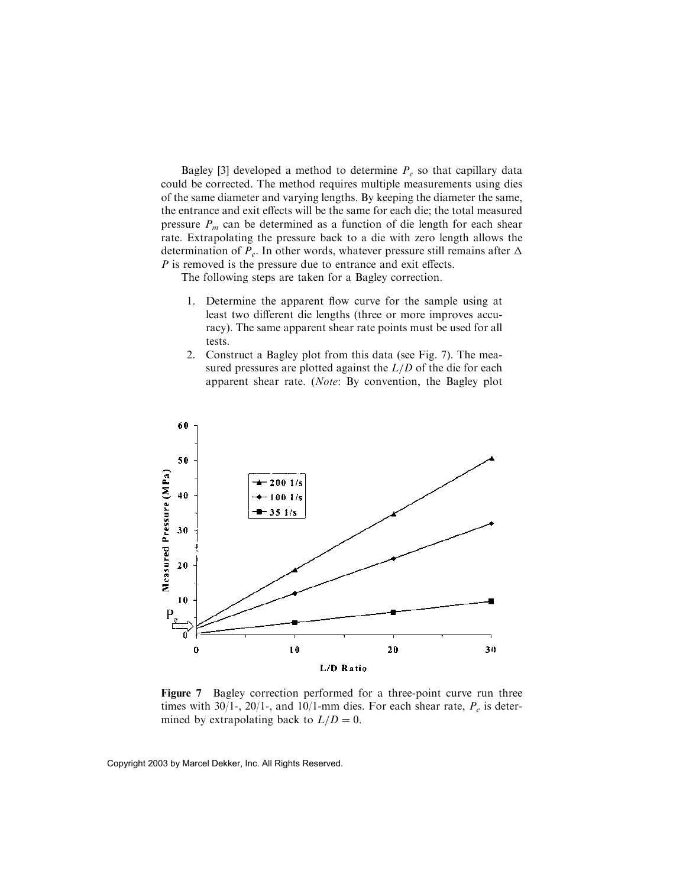Bagley [3] developed a method to determine  $P_e$  so that capillary data could be corrected. The method requires multiple measurements using dies of the same diameter and varying lengths. By keeping the diameter the same, the entrance and exit effects will be the same for each die; the total measured pressure  $P_m$  can be determined as a function of die length for each shear rate. Extrapolating the pressure back to a die with zero length allows the determination of  $P_e$ . In other words, whatever pressure still remains after  $\Delta$ P is removed is the pressure due to entrance and exit effects.

The following steps are taken for a Bagley correction.

- 1. Determine the apparent flow curve for the sample using at least two different die lengths (three or more improves accuracy). The same apparent shear rate points must be used for all tests.
- 2. Construct a Bagley plot from this data (see Fig. 7). The measured pressures are plotted against the  $L/D$  of the die for each apparent shear rate. (Note: By convention, the Bagley plot



Figure 7 Bagley correction performed for a three-point curve run three times with 30/1-, 20/1-, and 10/1-mm dies. For each shear rate,  $P_e$  is determined by extrapolating back to  $L/D=0$ .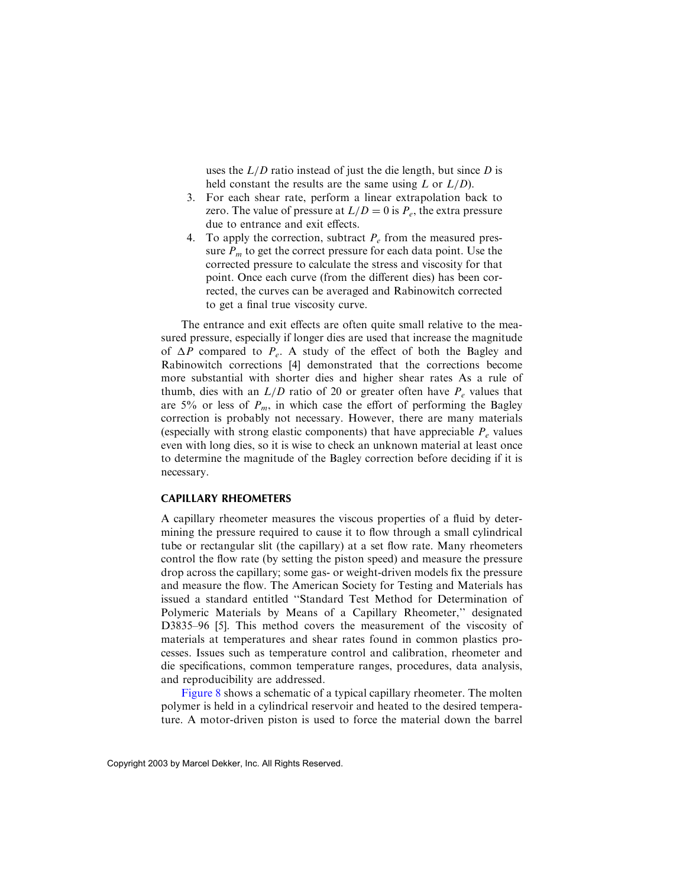uses the  $L/D$  ratio instead of just the die length, but since D is held constant the results are the same using  $L$  or  $L/D$ ).

- 3. For each shear rate, perform a linear extrapolation back to zero. The value of pressure at  $L/D = 0$  is  $P_e$ , the extra pressure due to entrance and exit effects.
- 4. To apply the correction, subtract  $P_e$  from the measured pressure  $P_m$  to get the correct pressure for each data point. Use the corrected pressure to calculate the stress and viscosity for that point. Once each curve (from the different dies) has been corrected, the curves can be averaged and Rabinowitch corrected to get a final true viscosity curve.

The entrance and exit effects are often quite small relative to the measured pressure, especially if longer dies are used that increase the magnitude of  $\Delta P$  compared to  $P_e$ . A study of the effect of both the Bagley and Rabinowitch corrections [4] demonstrated that the corrections become more substantial with shorter dies and higher shear rates As a rule of thumb, dies with an  $L/D$  ratio of 20 or greater often have  $P_e$  values that are 5% or less of  $P_m$ , in which case the effort of performing the Bagley correction is probably not necessary. However, there are many materials (especially with strong elastic components) that have appreciable  $P_e$  values even with long dies, so it is wise to check an unknown material at least once to determine the magnitude of the Bagley correction before deciding if it is necessary.

# CAPILLARY RHEOMETERS

A capillary rheometer measures the viscous properties of a fluid by determining the pressure required to cause it to flow through a small cylindrical tube or rectangular slit (the capillary) at a set flow rate. Many rheometers control the flow rate (by setting the piston speed) and measure the pressure drop across the capillary; some gas- or weight-driven models fix the pressure and measure the flow. The American Society for Testing and Materials has issued a standard entitled ''Standard Test Method for Determination of Polymeric Materials by Means of a Capillary Rheometer,'' designated D3835–96 [5]. This method covers the measurement of the viscosity of materials at temperatures and shear rates found in common plastics processes. Issues such as temperature control and calibration, rheometer and die specifications, common temperature ranges, procedures, data analysis, and reproducibility are addressed.

[Figure 8](#page-11-0) shows a schematic of a typical capillary rheometer. The molten polymer is held in a cylindrical reservoir and heated to the desired temperature. A motor-driven piston is used to force the material down the barrel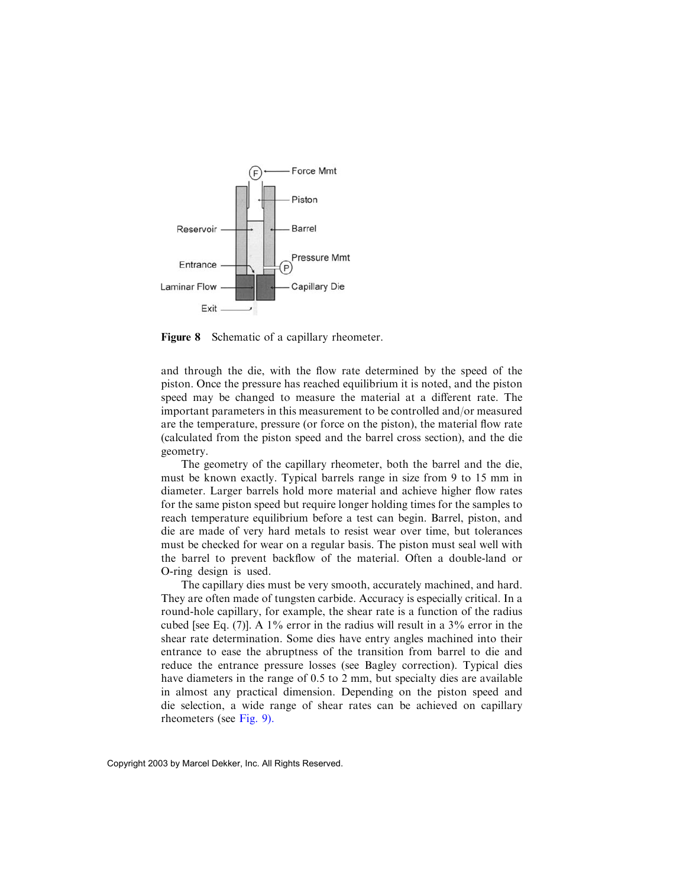<span id="page-11-0"></span>

Figure 8 Schematic of a capillary rheometer.

and through the die, with the flow rate determined by the speed of the piston. Once the pressure has reached equilibrium it is noted, and the piston speed may be changed to measure the material at a different rate. The important parameters in this measurement to be controlled and/or measured are the temperature, pressure (or force on the piston), the material flow rate (calculated from the piston speed and the barrel cross section), and the die geometry.

The geometry of the capillary rheometer, both the barrel and the die, must be known exactly. Typical barrels range in size from 9 to 15 mm in diameter. Larger barrels hold more material and achieve higher flow rates for the same piston speed but require longer holding times for the samples to reach temperature equilibrium before a test can begin. Barrel, piston, and die are made of very hard metals to resist wear over time, but tolerances must be checked for wear on a regular basis. The piston must seal well with the barrel to prevent backflow of the material. Often a double-land or O-ring design is used.

The capillary dies must be very smooth, accurately machined, and hard. They are often made of tungsten carbide. Accuracy is especially critical. In a round-hole capillary, for example, the shear rate is a function of the radius cubed [see Eq. (7)]. A  $1\%$  error in the radius will result in a  $3\%$  error in the shear rate determination. Some dies have entry angles machined into their entrance to ease the abruptness of the transition from barrel to die and reduce the entrance pressure losses (see Bagley correction). Typical dies have diameters in the range of 0.5 to 2 mm, but specialty dies are available in almost any practical dimension. Depending on the piston speed and die selection, a wide range of shear rates can be achieved on capillary rheometers (see [Fig. 9\).](#page-12-0)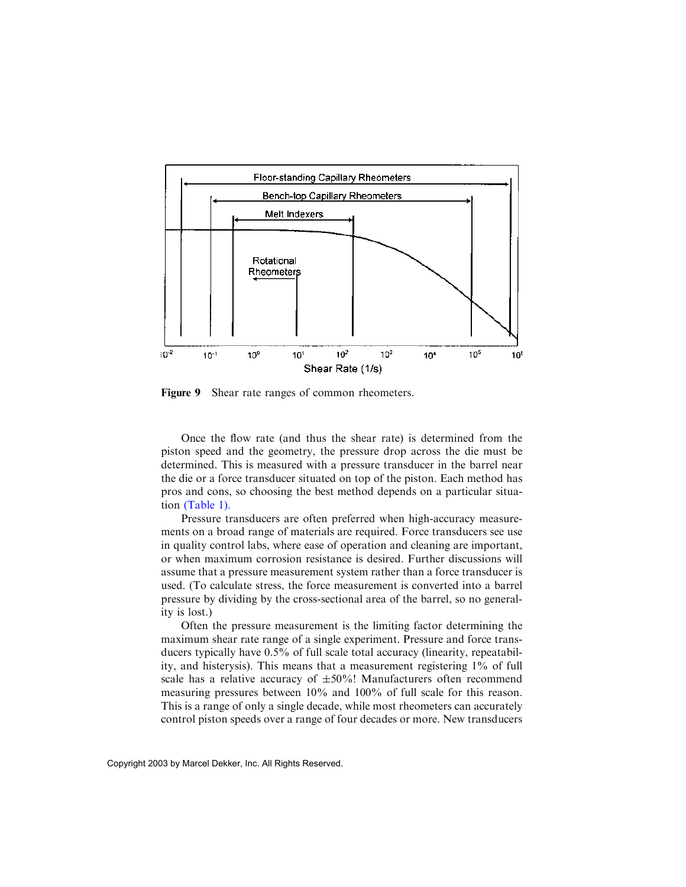<span id="page-12-0"></span>

Figure 9 Shear rate ranges of common rheometers.

Once the flow rate (and thus the shear rate) is determined from the piston speed and the geometry, the pressure drop across the die must be determined. This is measured with a pressure transducer in the barrel near the die or a force transducer situated on top of the piston. Each method has pros and cons, so choosing the best method depends on a particular situation [\(Table 1\).](#page-13-0)

Pressure transducers are often preferred when high-accuracy measurements on a broad range of materials are required. Force transducers see use in quality control labs, where ease of operation and cleaning are important, or when maximum corrosion resistance is desired. Further discussions will assume that a pressure measurement system rather than a force transducer is used. (To calculate stress, the force measurement is converted into a barrel pressure by dividing by the cross-sectional area of the barrel, so no generality is lost.)

Often the pressure measurement is the limiting factor determining the maximum shear rate range of a single experiment. Pressure and force transducers typically have 0.5% of full scale total accuracy (linearity, repeatability, and histerysis). This means that a measurement registering 1% of full scale has a relative accuracy of  $\pm 50\%$ ! Manufacturers often recommend measuring pressures between 10% and 100% of full scale for this reason. This is a range of only a single decade, while most rheometers can accurately control piston speeds over a range of four decades or more. New transducers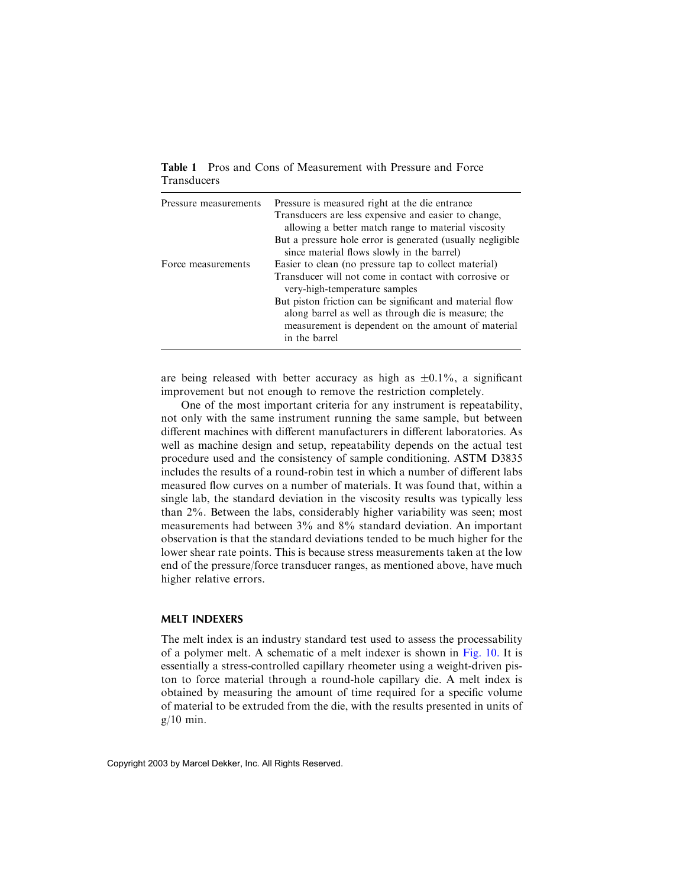| Pressure measurements | Pressure is measured right at the die entrance<br>Transducers are less expensive and easier to change,<br>allowing a better match range to material viscosity<br>But a pressure hole error is generated (usually negligible<br>since material flows slowly in the barrel)                                                                 |
|-----------------------|-------------------------------------------------------------------------------------------------------------------------------------------------------------------------------------------------------------------------------------------------------------------------------------------------------------------------------------------|
| Force measurements    | Easier to clean (no pressure tap to collect material)<br>Transducer will not come in contact with corrosive or<br>very-high-temperature samples<br>But piston friction can be significant and material flow<br>along barrel as well as through die is measure; the<br>measurement is dependent on the amount of material<br>in the barrel |

<span id="page-13-0"></span>Table 1 Pros and Cons of Measurement with Pressure and Force **Transducers** 

are being released with better accuracy as high as  $\pm 0.1\%$ , a significant improvement but not enough to remove the restriction completely.

One of the most important criteria for any instrument is repeatability, not only with the same instrument running the same sample, but between different machines with different manufacturers in different laboratories. As well as machine design and setup, repeatability depends on the actual test procedure used and the consistency of sample conditioning. ASTM D3835 includes the results of a round-robin test in which a number of different labs measured flow curves on a number of materials. It was found that, within a single lab, the standard deviation in the viscosity results was typically less than 2%. Between the labs, considerably higher variability was seen; most measurements had between 3% and 8% standard deviation. An important observation is that the standard deviations tended to be much higher for the lower shear rate points. This is because stress measurements taken at the low end of the pressure/force transducer ranges, as mentioned above, have much higher relative errors.

## MELT INDEXERS

The melt index is an industry standard test used to assess the processability of a polymer melt. A schematic of a melt indexer is shown in [Fig. 10.](#page-14-0) It is essentially a stress-controlled capillary rheometer using a weight-driven piston to force material through a round-hole capillary die. A melt index is obtained by measuring the amount of time required for a specific volume of material to be extruded from the die, with the results presented in units of  $g/10$  min.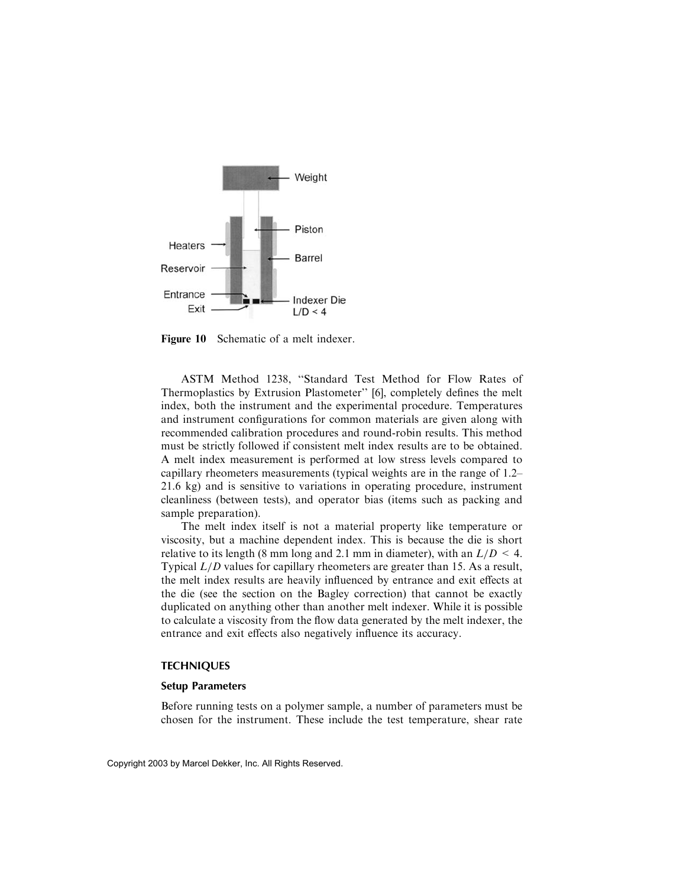<span id="page-14-0"></span>

Figure 10 Schematic of a melt indexer.

ASTM Method 1238, ''Standard Test Method for Flow Rates of Thermoplastics by Extrusion Plastometer'' [6], completely defines the melt index, both the instrument and the experimental procedure. Temperatures and instrument configurations for common materials are given along with recommended calibration procedures and round-robin results. This method must be strictly followed if consistent melt index results are to be obtained. A melt index measurement is performed at low stress levels compared to capillary rheometers measurements (typical weights are in the range of 1.2– 21.6 kg) and is sensitive to variations in operating procedure, instrument cleanliness (between tests), and operator bias (items such as packing and sample preparation).

The melt index itself is not a material property like temperature or viscosity, but a machine dependent index. This is because the die is short relative to its length (8 mm long and 2.1 mm in diameter), with an  $L/D \leq 4$ . Typical  $L/D$  values for capillary rheometers are greater than 15. As a result, the melt index results are heavily influenced by entrance and exit effects at the die (see the section on the Bagley correction) that cannot be exactly duplicated on anything other than another melt indexer. While it is possible to calculate a viscosity from the flow data generated by the melt indexer, the entrance and exit effects also negatively influence its accuracy.

#### **TECHNIQUES**

#### Setup Parameters

Before running tests on a polymer sample, a number of parameters must be chosen for the instrument. These include the test temperature, shear rate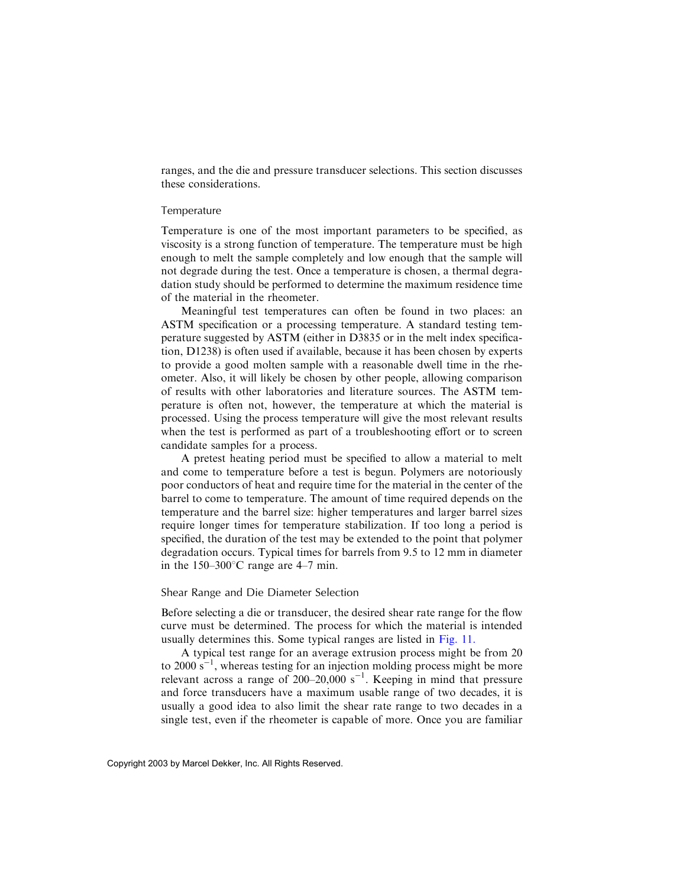ranges, and the die and pressure transducer selections. This section discusses these considerations.

#### **Temperature**

Temperature is one of the most important parameters to be specified, as viscosity is a strong function of temperature. The temperature must be high enough to melt the sample completely and low enough that the sample will not degrade during the test. Once a temperature is chosen, a thermal degradation study should be performed to determine the maximum residence time of the material in the rheometer.

Meaningful test temperatures can often be found in two places: an ASTM specification or a processing temperature. A standard testing temperature suggested by ASTM (either in D3835 or in the melt index specification, D1238) is often used if available, because it has been chosen by experts to provide a good molten sample with a reasonable dwell time in the rheometer. Also, it will likely be chosen by other people, allowing comparison of results with other laboratories and literature sources. The ASTM temperature is often not, however, the temperature at which the material is processed. Using the process temperature will give the most relevant results when the test is performed as part of a troubleshooting effort or to screen candidate samples for a process.

A pretest heating period must be specified to allow a material to melt and come to temperature before a test is begun. Polymers are notoriously poor conductors of heat and require time for the material in the center of the barrel to come to temperature. The amount of time required depends on the temperature and the barrel size: higher temperatures and larger barrel sizes require longer times for temperature stabilization. If too long a period is specified, the duration of the test may be extended to the point that polymer degradation occurs. Typical times for barrels from 9.5 to 12 mm in diameter in the  $150-300^{\circ}$ C range are 4–7 min.

#### Shear Range and Die Diameter Selection

Before selecting a die or transducer, the desired shear rate range for the flow curve must be determined. The process for which the material is intended usually determines this. Some typical ranges are listed in [Fig. 11.](#page-16-0)

A typical test range for an average extrusion process might be from 20 to 2000  $s^{-1}$ , whereas testing for an injection molding process might be more relevant across a range of 200–20,000  $s^{-1}$ . Keeping in mind that pressure and force transducers have a maximum usable range of two decades, it is usually a good idea to also limit the shear rate range to two decades in a single test, even if the rheometer is capable of more. Once you are familiar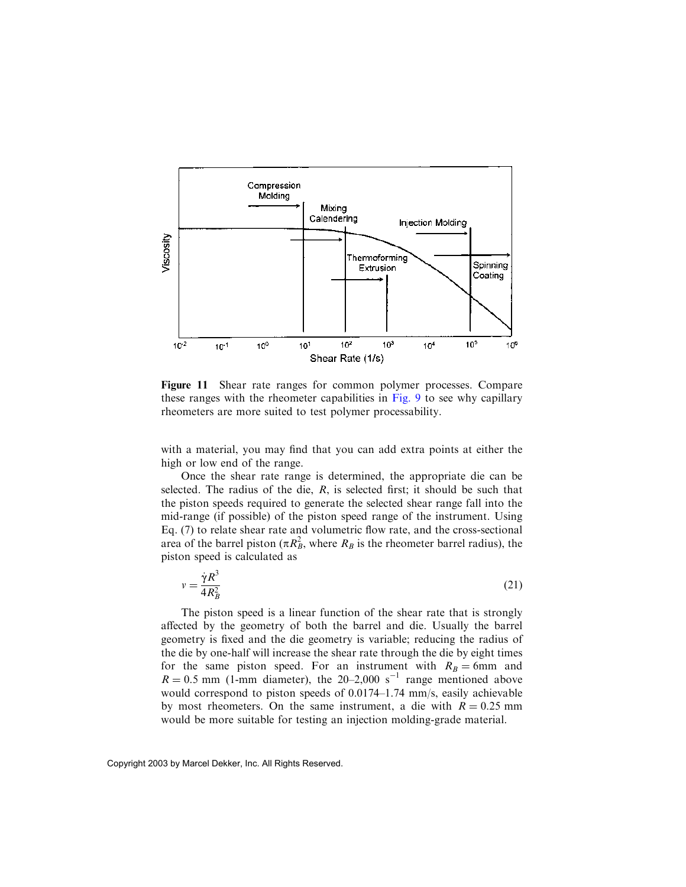<span id="page-16-0"></span>

Figure 11 Shear rate ranges for common polymer processes. Compare these ranges with the rheometer capabilities in [Fig. 9](#page-12-0) to see why capillary rheometers are more suited to test polymer processability.

with a material, you may find that you can add extra points at either the high or low end of the range.

Once the shear rate range is determined, the appropriate die can be selected. The radius of the die,  $R$ , is selected first; it should be such that the piston speeds required to generate the selected shear range fall into the mid-range (if possible) of the piston speed range of the instrument. Using Eq. (7) to relate shear rate and volumetric flow rate, and the cross-sectional area of the barrel piston ( $\pi R_B^2$ , where  $R_B$  is the rheometer barrel radius), the piston speed is calculated as

$$
v = \frac{\dot{\gamma}R^3}{4R_B^2} \tag{21}
$$

The piston speed is a linear function of the shear rate that is strongly affected by the geometry of both the barrel and die. Usually the barrel geometry is fixed and the die geometry is variable; reducing the radius of the die by one-half will increase the shear rate through the die by eight times for the same piston speed. For an instrument with  $R_B = 6$ mm and  $R = 0.5$  mm (1-mm diameter), the 20–2,000 s<sup>-1</sup> range mentioned above would correspond to piston speeds of 0.0174–1.74 mm/s, easily achievable by most rheometers. On the same instrument, a die with  $R = 0.25$  mm would be more suitable for testing an injection molding-grade material.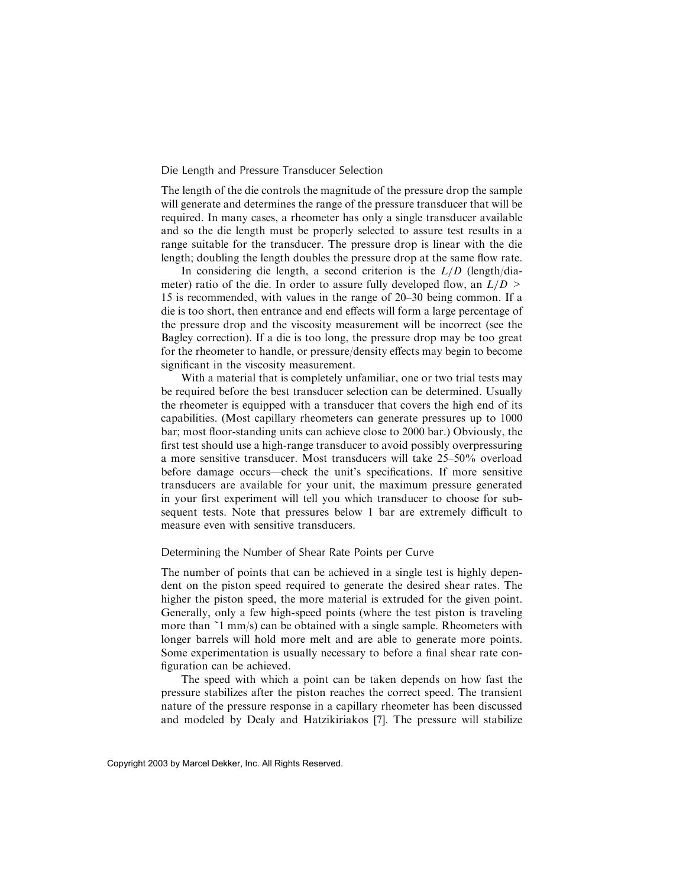Die Length and Pressure Transducer Selection

The length of the die controls the magnitude of the pressure drop the sample will generate and determines the range of the pressure transducer that will be required. In many cases, a rheometer has only a single transducer available and so the die length must be properly selected to assure test results in a range suitable for the transducer. The pressure drop is linear with the die length; doubling the length doubles the pressure drop at the same flow rate.

In considering die length, a second criterion is the  $L/D$  (length/diameter) ratio of the die. In order to assure fully developed flow, an  $L/D$  > 15 is recommended, with values in the range of 20–30 being common. If a die is too short, then entrance and end effects will form a large percentage of the pressure drop and the viscosity measurement will be incorrect (see the Bagley correction). If a die is too long, the pressure drop may be too great for the rheometer to handle, or pressure/density effects may begin to become significant in the viscosity measurement.

With a material that is completely unfamiliar, one or two trial tests may be required before the best transducer selection can be determined. Usually the rheometer is equipped with a transducer that covers the high end of its capabilities. (Most capillary rheometers can generate pressures up to 1000 bar; most floor-standing units can achieve close to 2000 bar.) Obviously, the first test should use a high-range transducer to avoid possibly overpressuring a more sensitive transducer. Most transducers will take 25–50% overload before damage occurs—check the unit's specifications. If more sensitive transducers are available for your unit, the maximum pressure generated in your first experiment will tell you which transducer to choose for subsequent tests. Note that pressures below 1 bar are extremely difficult to measure even with sensitive transducers.

Determining the Number of Shear Rate Points per Curve

The number of points that can be achieved in a single test is highly dependent on the piston speed required to generate the desired shear rates. The higher the piston speed, the more material is extruded for the given point. Generally, only a few high-speed points (where the test piston is traveling more than ~1 mm/s) can be obtained with a single sample. Rheometers with longer barrels will hold more melt and are able to generate more points. Some experimentation is usually necessary to before a final shear rate configuration can be achieved.

The speed with which a point can be taken depends on how fast the pressure stabilizes after the piston reaches the correct speed. The transient nature of the pressure response in a capillary rheometer has been discussed and modeled by Dealy and Hatzikiriakos [7]. The pressure will stabilize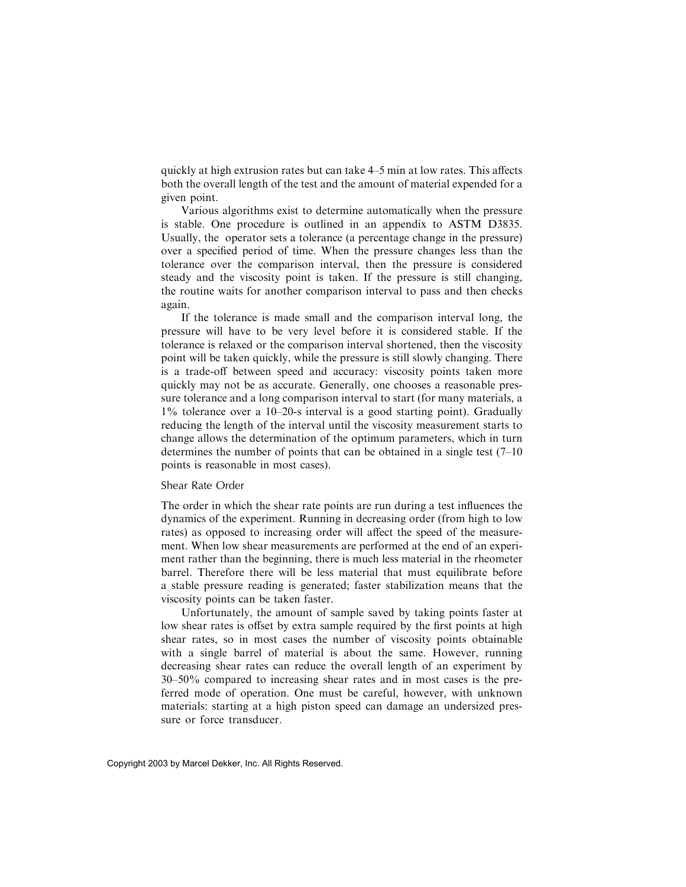quickly at high extrusion rates but can take 4–5 min at low rates. This affects both the overall length of the test and the amount of material expended for a given point.

Various algorithms exist to determine automatically when the pressure is stable. One procedure is outlined in an appendix to ASTM D3835. Usually, the operator sets a tolerance (a percentage change in the pressure) over a specified period of time. When the pressure changes less than the tolerance over the comparison interval, then the pressure is considered steady and the viscosity point is taken. If the pressure is still changing, the routine waits for another comparison interval to pass and then checks again.

If the tolerance is made small and the comparison interval long, the pressure will have to be very level before it is considered stable. If the tolerance is relaxed or the comparison interval shortened, then the viscosity point will be taken quickly, while the pressure is still slowly changing. There is a trade-off between speed and accuracy: viscosity points taken more quickly may not be as accurate. Generally, one chooses a reasonable pressure tolerance and a long comparison interval to start (for many materials, a 1% tolerance over a 10–20-s interval is a good starting point). Gradually reducing the length of the interval until the viscosity measurement starts to change allows the determination of the optimum parameters, which in turn determines the number of points that can be obtained in a single test (7–10 points is reasonable in most cases).

#### Shear Rate Order

The order in which the shear rate points are run during a test influences the dynamics of the experiment. Running in decreasing order (from high to low rates) as opposed to increasing order will affect the speed of the measurement. When low shear measurements are performed at the end of an experiment rather than the beginning, there is much less material in the rheometer barrel. Therefore there will be less material that must equilibrate before a stable pressure reading is generated; faster stabilization means that the viscosity points can be taken faster.

Unfortunately, the amount of sample saved by taking points faster at low shear rates is offset by extra sample required by the first points at high shear rates, so in most cases the number of viscosity points obtainable with a single barrel of material is about the same. However, running decreasing shear rates can reduce the overall length of an experiment by 30–50% compared to increasing shear rates and in most cases is the preferred mode of operation. One must be careful, however, with unknown materials: starting at a high piston speed can damage an undersized pressure or force transducer.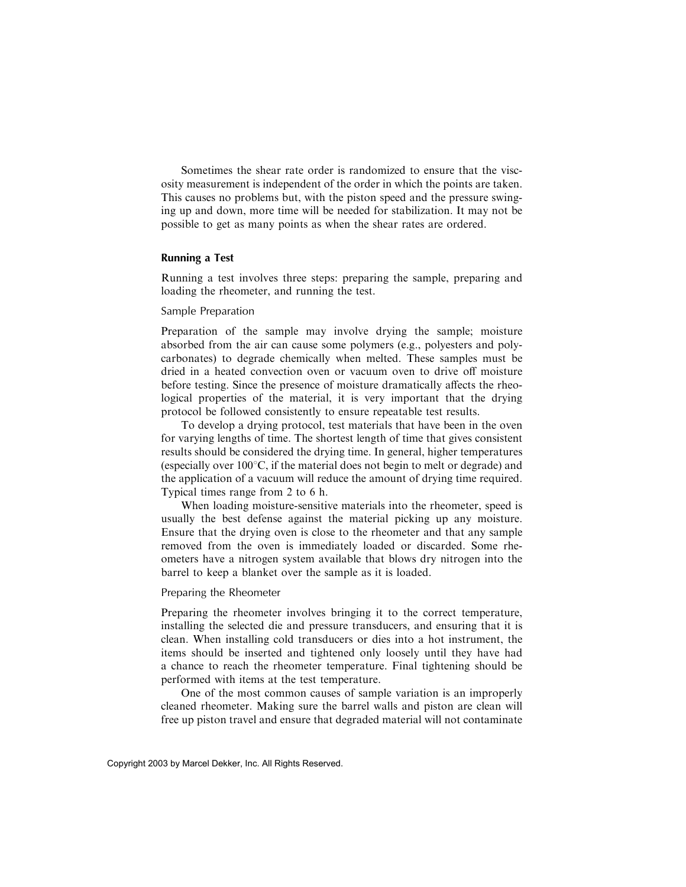Sometimes the shear rate order is randomized to ensure that the viscosity measurement is independent of the order in which the points are taken. This causes no problems but, with the piston speed and the pressure swinging up and down, more time will be needed for stabilization. It may not be possible to get as many points as when the shear rates are ordered.

## Running a Test

Running a test involves three steps: preparing the sample, preparing and loading the rheometer, and running the test.

#### Sample Preparation

Preparation of the sample may involve drying the sample; moisture absorbed from the air can cause some polymers (e.g., polyesters and polycarbonates) to degrade chemically when melted. These samples must be dried in a heated convection oven or vacuum oven to drive off moisture before testing. Since the presence of moisture dramatically affects the rheological properties of the material, it is very important that the drying protocol be followed consistently to ensure repeatable test results.

To develop a drying protocol, test materials that have been in the oven for varying lengths of time. The shortest length of time that gives consistent results should be considered the drying time. In general, higher temperatures (especially over  $100^{\circ}$ C, if the material does not begin to melt or degrade) and the application of a vacuum will reduce the amount of drying time required. Typical times range from 2 to 6 h.

When loading moisture-sensitive materials into the rheometer, speed is usually the best defense against the material picking up any moisture. Ensure that the drying oven is close to the rheometer and that any sample removed from the oven is immediately loaded or discarded. Some rheometers have a nitrogen system available that blows dry nitrogen into the barrel to keep a blanket over the sample as it is loaded.

#### Preparing the Rheometer

Preparing the rheometer involves bringing it to the correct temperature, installing the selected die and pressure transducers, and ensuring that it is clean. When installing cold transducers or dies into a hot instrument, the items should be inserted and tightened only loosely until they have had a chance to reach the rheometer temperature. Final tightening should be performed with items at the test temperature.

One of the most common causes of sample variation is an improperly cleaned rheometer. Making sure the barrel walls and piston are clean will free up piston travel and ensure that degraded material will not contaminate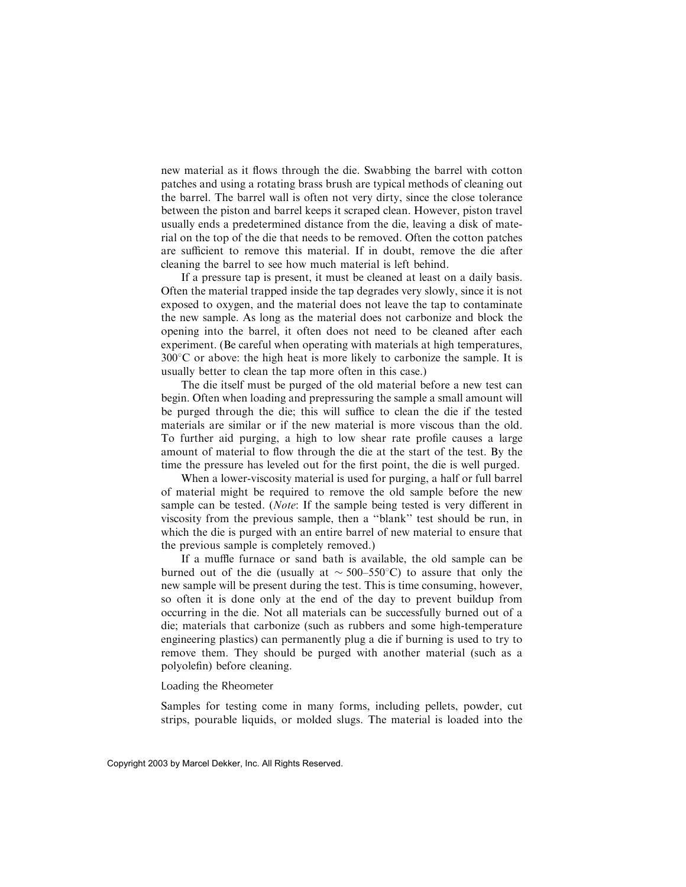new material as it flows through the die. Swabbing the barrel with cotton patches and using a rotating brass brush are typical methods of cleaning out the barrel. The barrel wall is often not very dirty, since the close tolerance between the piston and barrel keeps it scraped clean. However, piston travel usually ends a predetermined distance from the die, leaving a disk of material on the top of the die that needs to be removed. Often the cotton patches are sufficient to remove this material. If in doubt, remove the die after cleaning the barrel to see how much material is left behind.

If a pressure tap is present, it must be cleaned at least on a daily basis. Often the material trapped inside the tap degrades very slowly, since it is not exposed to oxygen, and the material does not leave the tap to contaminate the new sample. As long as the material does not carbonize and block the opening into the barrel, it often does not need to be cleaned after each experiment. (Be careful when operating with materials at high temperatures,  $300^{\circ}$ C or above: the high heat is more likely to carbonize the sample. It is usually better to clean the tap more often in this case.)

The die itself must be purged of the old material before a new test can begin. Often when loading and prepressuring the sample a small amount will be purged through the die; this will suffice to clean the die if the tested materials are similar or if the new material is more viscous than the old. To further aid purging, a high to low shear rate profile causes a large amount of material to flow through the die at the start of the test. By the time the pressure has leveled out for the first point, the die is well purged.

When a lower-viscosity material is used for purging, a half or full barrel of material might be required to remove the old sample before the new sample can be tested. (*Note*: If the sample being tested is very different in viscosity from the previous sample, then a ''blank'' test should be run, in which the die is purged with an entire barrel of new material to ensure that the previous sample is completely removed.)

If a muffle furnace or sand bath is available, the old sample can be burned out of the die (usually at  $\sim 500-550^{\circ}$ C) to assure that only the new sample will be present during the test. This is time consuming, however, so often it is done only at the end of the day to prevent buildup from occurring in the die. Not all materials can be successfully burned out of a die; materials that carbonize (such as rubbers and some high-temperature engineering plastics) can permanently plug a die if burning is used to try to remove them. They should be purged with another material (such as a polyolefin) before cleaning.

#### Loading the Rheometer

Samples for testing come in many forms, including pellets, powder, cut strips, pourable liquids, or molded slugs. The material is loaded into the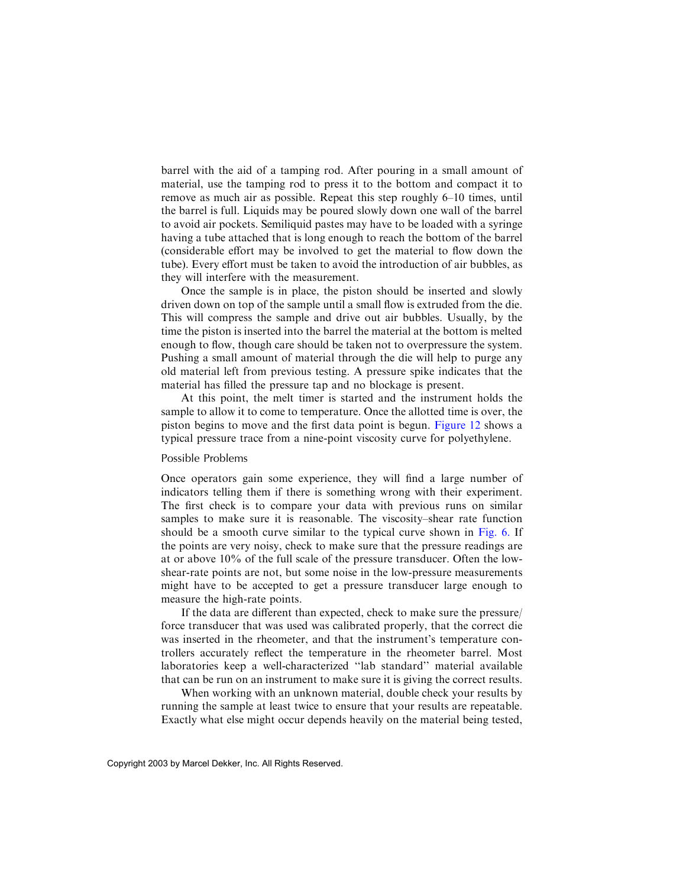barrel with the aid of a tamping rod. After pouring in a small amount of material, use the tamping rod to press it to the bottom and compact it to remove as much air as possible. Repeat this step roughly 6–10 times, until the barrel is full. Liquids may be poured slowly down one wall of the barrel to avoid air pockets. Semiliquid pastes may have to be loaded with a syringe having a tube attached that is long enough to reach the bottom of the barrel (considerable effort may be involved to get the material to flow down the tube). Every effort must be taken to avoid the introduction of air bubbles, as they will interfere with the measurement.

Once the sample is in place, the piston should be inserted and slowly driven down on top of the sample until a small flow is extruded from the die. This will compress the sample and drive out air bubbles. Usually, by the time the piston is inserted into the barrel the material at the bottom is melted enough to flow, though care should be taken not to overpressure the system. Pushing a small amount of material through the die will help to purge any old material left from previous testing. A pressure spike indicates that the material has filled the pressure tap and no blockage is present.

At this point, the melt timer is started and the instrument holds the sample to allow it to come to temperature. Once the allotted time is over, the piston begins to move and the first data point is begun. [Figure 12](#page-22-0) shows a typical pressure trace from a nine-point viscosity curve for polyethylene.

#### Possible Problems

Once operators gain some experience, they will find a large number of indicators telling them if there is something wrong with their experiment. The first check is to compare your data with previous runs on similar samples to make sure it is reasonable. The viscosity–shear rate function should be a smooth curve similar to the typical curve shown in [Fig. 6.](#page-7-0) If the points are very noisy, check to make sure that the pressure readings are at or above 10% of the full scale of the pressure transducer. Often the lowshear-rate points are not, but some noise in the low-pressure measurements might have to be accepted to get a pressure transducer large enough to measure the high-rate points.

If the data are different than expected, check to make sure the pressure/ force transducer that was used was calibrated properly, that the correct die was inserted in the rheometer, and that the instrument's temperature controllers accurately reflect the temperature in the rheometer barrel. Most laboratories keep a well-characterized ''lab standard'' material available that can be run on an instrument to make sure it is giving the correct results.

When working with an unknown material, double check your results by running the sample at least twice to ensure that your results are repeatable. Exactly what else might occur depends heavily on the material being tested,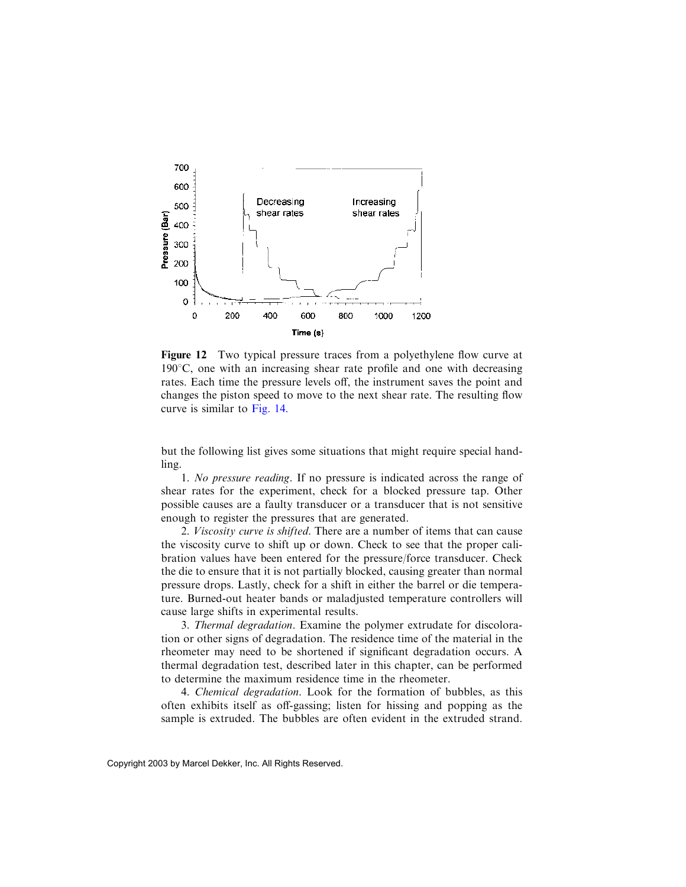<span id="page-22-0"></span>

Figure 12 Two typical pressure traces from a polyethylene flow curve at  $190^{\circ}$ C, one with an increasing shear rate profile and one with decreasing rates. Each time the pressure levels off, the instrument saves the point and changes the piston speed to move to the next shear rate. The resulting flow curve is similar to [Fig. 14.](#page-28-0)

but the following list gives some situations that might require special handling.

1. No pressure reading. If no pressure is indicated across the range of shear rates for the experiment, check for a blocked pressure tap. Other possible causes are a faulty transducer or a transducer that is not sensitive enough to register the pressures that are generated.

2. Viscosity curve is shifted. There are a number of items that can cause the viscosity curve to shift up or down. Check to see that the proper calibration values have been entered for the pressure/force transducer. Check the die to ensure that it is not partially blocked, causing greater than normal pressure drops. Lastly, check for a shift in either the barrel or die temperature. Burned-out heater bands or maladjusted temperature controllers will cause large shifts in experimental results.

3. Thermal degradation. Examine the polymer extrudate for discoloration or other signs of degradation. The residence time of the material in the rheometer may need to be shortened if significant degradation occurs. A thermal degradation test, described later in this chapter, can be performed to determine the maximum residence time in the rheometer.

4. Chemical degradation. Look for the formation of bubbles, as this often exhibits itself as off-gassing; listen for hissing and popping as the sample is extruded. The bubbles are often evident in the extruded strand.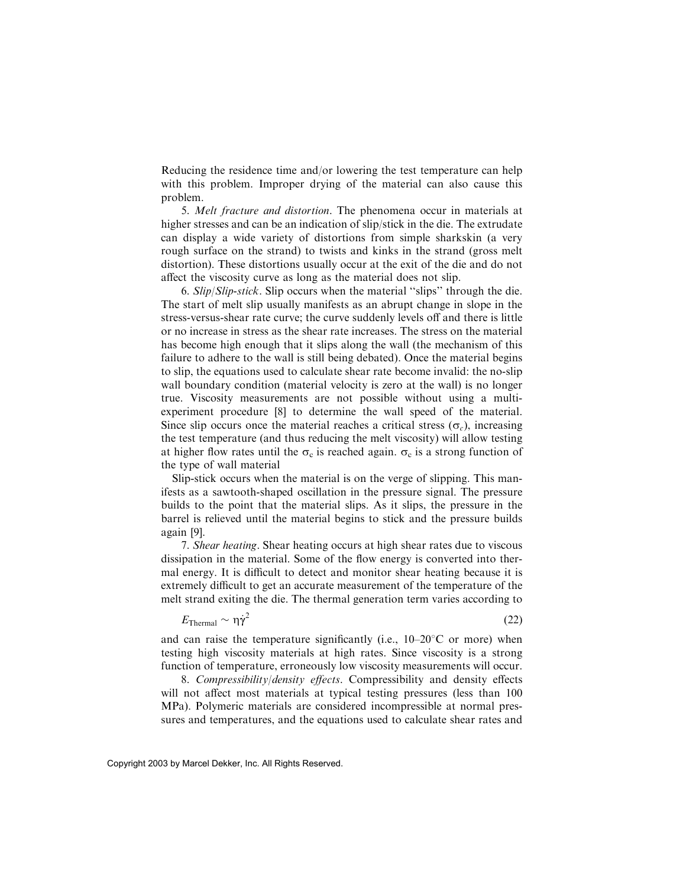Reducing the residence time and/or lowering the test temperature can help with this problem. Improper drying of the material can also cause this problem.

5. Melt fracture and distortion. The phenomena occur in materials at higher stresses and can be an indication of slip/stick in the die. The extrudate can display a wide variety of distortions from simple sharkskin (a very rough surface on the strand) to twists and kinks in the strand (gross melt distortion). These distortions usually occur at the exit of the die and do not affect the viscosity curve as long as the material does not slip.

6. Slip/Slip-stick. Slip occurs when the material ''slips'' through the die. The start of melt slip usually manifests as an abrupt change in slope in the stress-versus-shear rate curve; the curve suddenly levels off and there is little or no increase in stress as the shear rate increases. The stress on the material has become high enough that it slips along the wall (the mechanism of this failure to adhere to the wall is still being debated). Once the material begins to slip, the equations used to calculate shear rate become invalid: the no-slip wall boundary condition (material velocity is zero at the wall) is no longer true. Viscosity measurements are not possible without using a multiexperiment procedure [8] to determine the wall speed of the material. Since slip occurs once the material reaches a critical stress  $(\sigma_c)$ , increasing the test temperature (and thus reducing the melt viscosity) will allow testing at higher flow rates until the  $\sigma_c$  is reached again.  $\sigma_c$  is a strong function of the type of wall material

Slip-stick occurs when the material is on the verge of slipping. This manifests as a sawtooth-shaped oscillation in the pressure signal. The pressure builds to the point that the material slips. As it slips, the pressure in the barrel is relieved until the material begins to stick and the pressure builds again [9].

7. Shear heating. Shear heating occurs at high shear rates due to viscous dissipation in the material. Some of the flow energy is converted into thermal energy. It is difficult to detect and monitor shear heating because it is extremely difficult to get an accurate measurement of the temperature of the melt strand exiting the die. The thermal generation term varies according to

$$
E_{\text{Thermal}} \sim \eta \dot{\gamma}^2 \tag{22}
$$

and can raise the temperature significantly (i.e.,  $10-20^{\circ}$ C or more) when testing high viscosity materials at high rates. Since viscosity is a strong function of temperature, erroneously low viscosity measurements will occur.

8. Compressibility/density effects. Compressibility and density effects will not affect most materials at typical testing pressures (less than 100 MPa). Polymeric materials are considered incompressible at normal pressures and temperatures, and the equations used to calculate shear rates and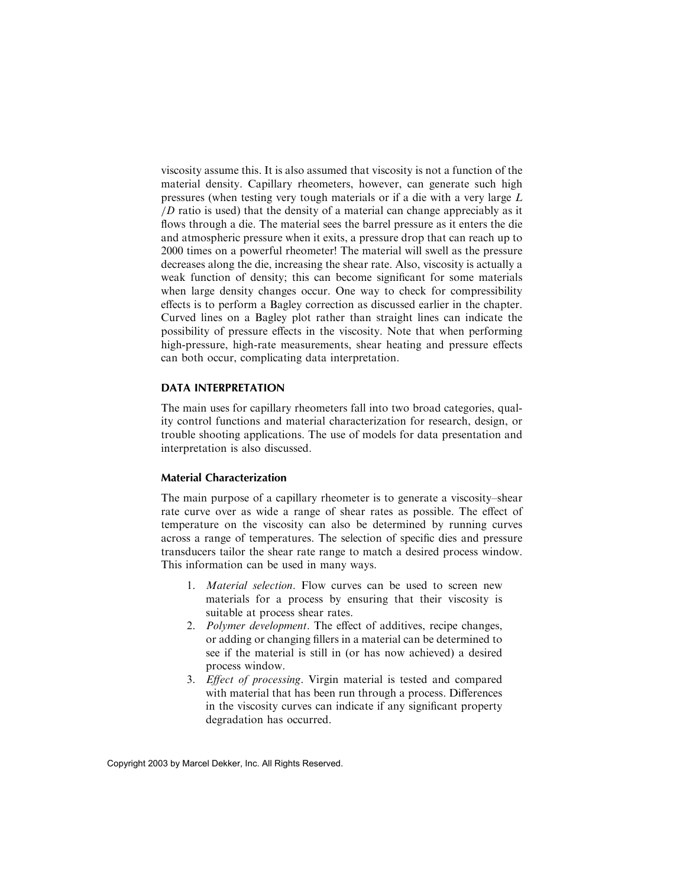viscosity assume this. It is also assumed that viscosity is not a function of the material density. Capillary rheometers, however, can generate such high pressures (when testing very tough materials or if a die with a very large L  $/D$  ratio is used) that the density of a material can change appreciably as it flows through a die. The material sees the barrel pressure as it enters the die and atmospheric pressure when it exits, a pressure drop that can reach up to 2000 times on a powerful rheometer! The material will swell as the pressure decreases along the die, increasing the shear rate. Also, viscosity is actually a weak function of density; this can become significant for some materials when large density changes occur. One way to check for compressibility effects is to perform a Bagley correction as discussed earlier in the chapter. Curved lines on a Bagley plot rather than straight lines can indicate the possibility of pressure effects in the viscosity. Note that when performing high-pressure, high-rate measurements, shear heating and pressure effects can both occur, complicating data interpretation.

# DATA INTERPRETATION

The main uses for capillary rheometers fall into two broad categories, quality control functions and material characterization for research, design, or trouble shooting applications. The use of models for data presentation and interpretation is also discussed.

# Material Characterization

The main purpose of a capillary rheometer is to generate a viscosity–shear rate curve over as wide a range of shear rates as possible. The effect of temperature on the viscosity can also be determined by running curves across a range of temperatures. The selection of specific dies and pressure transducers tailor the shear rate range to match a desired process window. This information can be used in many ways.

- 1. Material selection. Flow curves can be used to screen new materials for a process by ensuring that their viscosity is suitable at process shear rates.
- 2. *Polymer development*. The effect of additives, recipe changes, or adding or changing fillers in a material can be determined to see if the material is still in (or has now achieved) a desired process window.
- 3. *Effect of processing*. Virgin material is tested and compared with material that has been run through a process. Differences in the viscosity curves can indicate if any significant property degradation has occurred.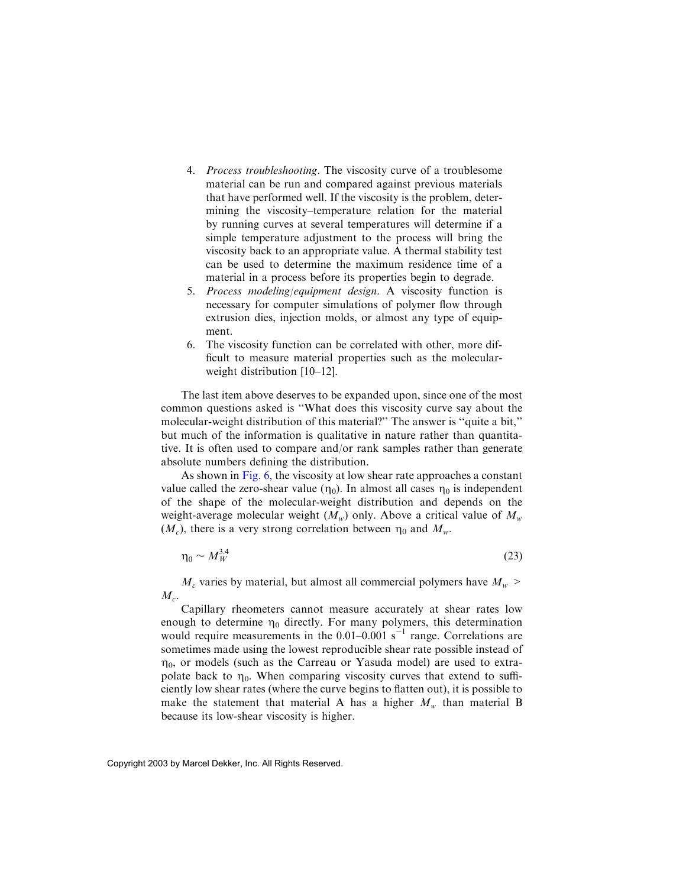- 4. Process troubleshooting. The viscosity curve of a troublesome material can be run and compared against previous materials that have performed well. If the viscosity is the problem, determining the viscosity–temperature relation for the material by running curves at several temperatures will determine if a simple temperature adjustment to the process will bring the viscosity back to an appropriate value. A thermal stability test can be used to determine the maximum residence time of a material in a process before its properties begin to degrade.
- 5. Process modeling/equipment design. A viscosity function is necessary for computer simulations of polymer flow through extrusion dies, injection molds, or almost any type of equipment.
- 6. The viscosity function can be correlated with other, more difficult to measure material properties such as the molecularweight distribution [10–12].

The last item above deserves to be expanded upon, since one of the most common questions asked is ''What does this viscosity curve say about the molecular-weight distribution of this material?'' The answer is ''quite a bit,'' but much of the information is qualitative in nature rather than quantitative. It is often used to compare and/or rank samples rather than generate absolute numbers defining the distribution.

As shown in [Fig. 6,](#page-7-0) the viscosity at low shear rate approaches a constant value called the zero-shear value  $(\eta_0)$ . In almost all cases  $\eta_0$  is independent of the shape of the molecular-weight distribution and depends on the weight-average molecular weight  $(M_w)$  only. Above a critical value of  $M_w$  $(M<sub>c</sub>)$ , there is a very strong correlation between  $\eta_0$  and  $M<sub>w</sub>$ .

 $n_0 \sim M_W^{3.4}$  $\frac{3.4}{W}$  (23)

 $M_c$  varies by material, but almost all commercial polymers have  $M_w$  >  $M_c$ .

Capillary rheometers cannot measure accurately at shear rates low enough to determine  $\eta_0$  directly. For many polymers, this determination would require measurements in the  $0.01-0.001$  s<sup>-1</sup> range. Correlations are sometimes made using the lowest reproducible shear rate possible instead of  $\eta_0$ , or models (such as the Carreau or Yasuda model) are used to extrapolate back to  $\eta_0$ . When comparing viscosity curves that extend to sufficiently low shear rates (where the curve begins to flatten out), it is possible to make the statement that material A has a higher  $M_w$  than material B because its low-shear viscosity is higher.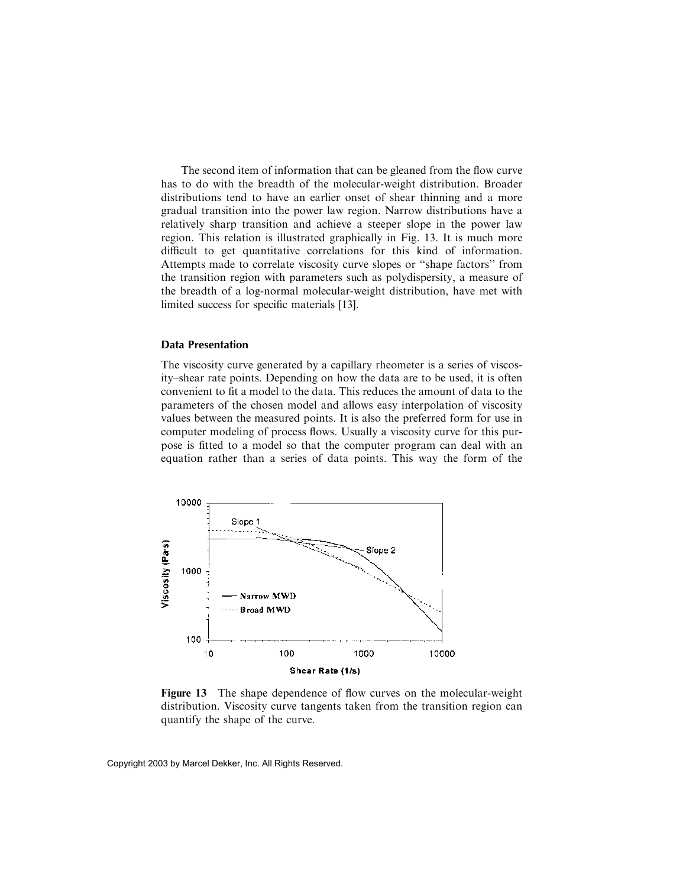The second item of information that can be gleaned from the flow curve has to do with the breadth of the molecular-weight distribution. Broader distributions tend to have an earlier onset of shear thinning and a more gradual transition into the power law region. Narrow distributions have a relatively sharp transition and achieve a steeper slope in the power law region. This relation is illustrated graphically in Fig. 13. It is much more difficult to get quantitative correlations for this kind of information. Attempts made to correlate viscosity curve slopes or ''shape factors'' from the transition region with parameters such as polydispersity, a measure of the breadth of a log-normal molecular-weight distribution, have met with limited success for specific materials [13].

#### Data Presentation

The viscosity curve generated by a capillary rheometer is a series of viscosity–shear rate points. Depending on how the data are to be used, it is often convenient to fit a model to the data. This reduces the amount of data to the parameters of the chosen model and allows easy interpolation of viscosity values between the measured points. It is also the preferred form for use in computer modeling of process flows. Usually a viscosity curve for this purpose is fitted to a model so that the computer program can deal with an equation rather than a series of data points. This way the form of the



Figure 13 The shape dependence of flow curves on the molecular-weight distribution. Viscosity curve tangents taken from the transition region can quantify the shape of the curve.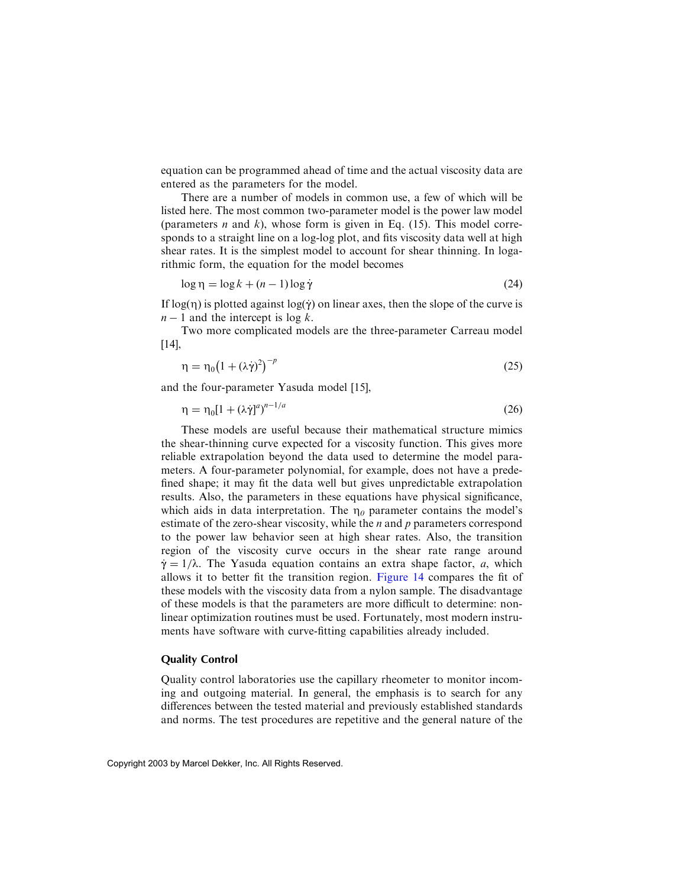equation can be programmed ahead of time and the actual viscosity data are entered as the parameters for the model.

There are a number of models in common use, a few of which will be listed here. The most common two-parameter model is the power law model (parameters *n* and *k*), whose form is given in Eq. (15). This model corresponds to a straight line on a log-log plot, and fits viscosity data well at high shear rates. It is the simplest model to account for shear thinning. In logarithmic form, the equation for the model becomes

$$
\log \eta = \log k + (n-1)\log \dot{\gamma}
$$
 (24)

If  $log(\eta)$  is plotted against  $log(\gamma)$  on linear axes, then the slope of the curve is  $n - 1$  and the intercept is log k.

Two more complicated models are the three-parameter Carreau model [14],

$$
\eta = \eta_0 \left( 1 + (\lambda \dot{\gamma})^2 \right)^{-p} \tag{25}
$$

and the four-parameter Yasuda model [15],

$$
\eta = \eta_0 [1 + (\lambda \dot{\gamma})^a \gamma^{n-1/a} \tag{26}
$$

These models are useful because their mathematical structure mimics the shear-thinning curve expected for a viscosity function. This gives more reliable extrapolation beyond the data used to determine the model parameters. A four-parameter polynomial, for example, does not have a predefined shape; it may fit the data well but gives unpredictable extrapolation results. Also, the parameters in these equations have physical significance, which aids in data interpretation. The  $n_0$  parameter contains the model's estimate of the zero-shear viscosity, while the  $n$  and  $p$  parameters correspond to the power law behavior seen at high shear rates. Also, the transition region of the viscosity curve occurs in the shear rate range around  $\dot{\gamma} = 1/\lambda$ . The Yasuda equation contains an extra shape factor, a, which allows it to better fit the transition region. [Figure 14](#page-28-0) compares the fit of these models with the viscosity data from a nylon sample. The disadvantage of these models is that the parameters are more difficult to determine: nonlinear optimization routines must be used. Fortunately, most modern instruments have software with curve-fitting capabilities already included.

## Quality Control

Quality control laboratories use the capillary rheometer to monitor incoming and outgoing material. In general, the emphasis is to search for any differences between the tested material and previously established standards and norms. The test procedures are repetitive and the general nature of the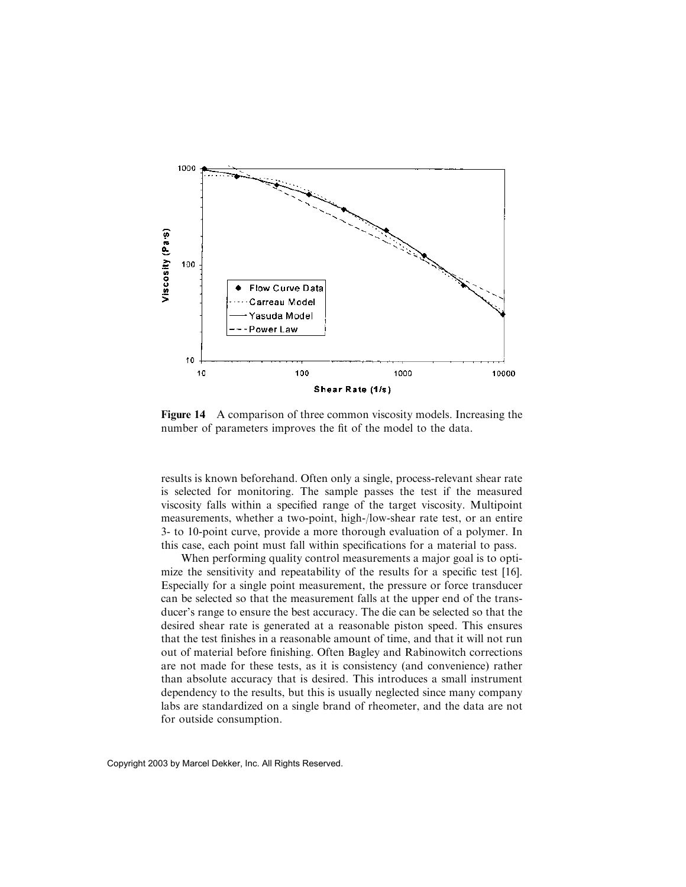<span id="page-28-0"></span>

Figure 14 A comparison of three common viscosity models. Increasing the number of parameters improves the fit of the model to the data.

results is known beforehand. Often only a single, process-relevant shear rate is selected for monitoring. The sample passes the test if the measured viscosity falls within a specified range of the target viscosity. Multipoint measurements, whether a two-point, high-/low-shear rate test, or an entire 3- to 10-point curve, provide a more thorough evaluation of a polymer. In this case, each point must fall within specifications for a material to pass.

When performing quality control measurements a major goal is to optimize the sensitivity and repeatability of the results for a specific test [16]. Especially for a single point measurement, the pressure or force transducer can be selected so that the measurement falls at the upper end of the transducer's range to ensure the best accuracy. The die can be selected so that the desired shear rate is generated at a reasonable piston speed. This ensures that the test finishes in a reasonable amount of time, and that it will not run out of material before finishing. Often Bagley and Rabinowitch corrections are not made for these tests, as it is consistency (and convenience) rather than absolute accuracy that is desired. This introduces a small instrument dependency to the results, but this is usually neglected since many company labs are standardized on a single brand of rheometer, and the data are not for outside consumption.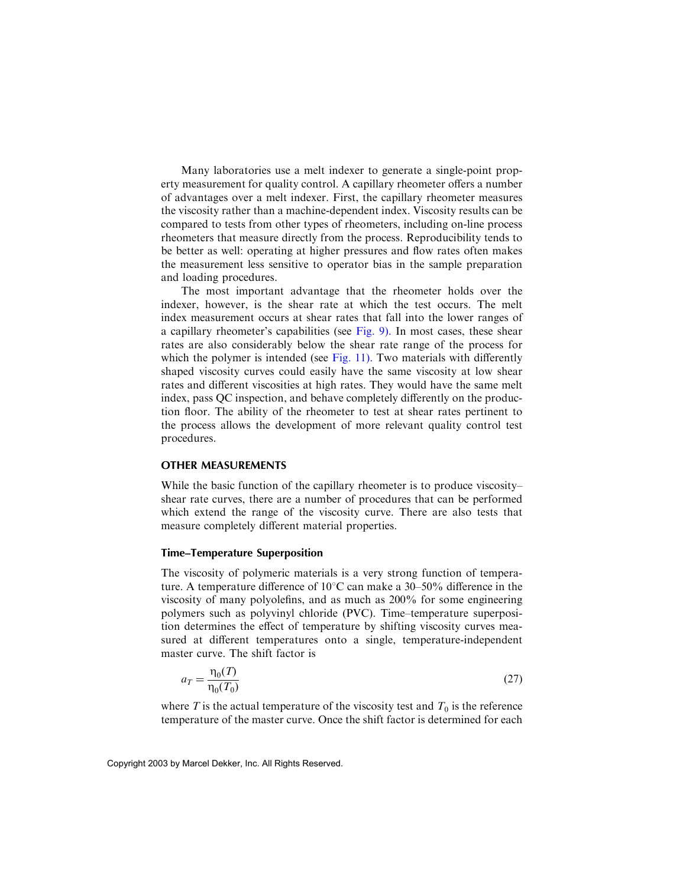Many laboratories use a melt indexer to generate a single-point property measurement for quality control. A capillary rheometer offers a number of advantages over a melt indexer. First, the capillary rheometer measures the viscosity rather than a machine-dependent index. Viscosity results can be compared to tests from other types of rheometers, including on-line process rheometers that measure directly from the process. Reproducibility tends to be better as well: operating at higher pressures and flow rates often makes the measurement less sensitive to operator bias in the sample preparation and loading procedures.

The most important advantage that the rheometer holds over the indexer, however, is the shear rate at which the test occurs. The melt index measurement occurs at shear rates that fall into the lower ranges of a capillary rheometer's capabilities (see [Fig. 9\)](#page-12-0). In most cases, these shear rates are also considerably below the shear rate range of the process for which the polymer is intended (see [Fig. 11](#page-16-0)). Two materials with differently shaped viscosity curves could easily have the same viscosity at low shear rates and different viscosities at high rates. They would have the same melt index, pass QC inspection, and behave completely differently on the production floor. The ability of the rheometer to test at shear rates pertinent to the process allows the development of more relevant quality control test procedures.

#### OTHER MEASUREMENTS

While the basic function of the capillary rheometer is to produce viscosity– shear rate curves, there are a number of procedures that can be performed which extend the range of the viscosity curve. There are also tests that measure completely different material properties.

#### Time–Temperature Superposition

The viscosity of polymeric materials is a very strong function of temperature. A temperature difference of  $10^{\circ}$ C can make a 30–50% difference in the viscosity of many polyolefins, and as much as 200% for some engineering polymers such as polyvinyl chloride (PVC). Time–temperature superposition determines the effect of temperature by shifting viscosity curves measured at different temperatures onto a single, temperature-independent master curve. The shift factor is

$$
a_T = \frac{\eta_0(T)}{\eta_0(T_0)}\tag{27}
$$

where T is the actual temperature of the viscosity test and  $T_0$  is the reference temperature of the master curve. Once the shift factor is determined for each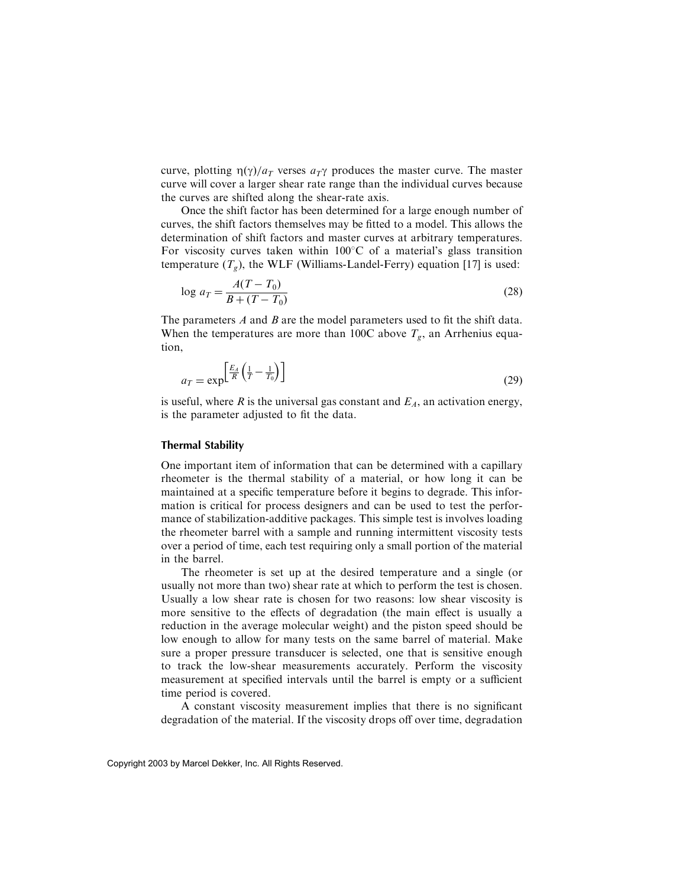curve, plotting  $\eta(\gamma)/a_T$  verses  $a_T \gamma$  produces the master curve. The master curve will cover a larger shear rate range than the individual curves because the curves are shifted along the shear-rate axis.

Once the shift factor has been determined for a large enough number of curves, the shift factors themselves may be fitted to a model. This allows the determination of shift factors and master curves at arbitrary temperatures. For viscosity curves taken within  $100^{\circ}$ C of a material's glass transition temperature  $(T_e)$ , the WLF (Williams-Landel-Ferry) equation [17] is used:

$$
\log a_T = \frac{A(T - T_0)}{B + (T - T_0)}\tag{28}
$$

The parameters  $\vec{A}$  and  $\vec{B}$  are the model parameters used to fit the shift data. When the temperatures are more than 100C above  $T<sub>g</sub>$ , an Arrhenius equation,

$$
a_T = \exp\left[\frac{E_A}{R}\left(\frac{1}{T} - \frac{1}{T_0}\right)\right]
$$
\n(29)

is useful, where R is the universal gas constant and  $E<sub>A</sub>$ , an activation energy, is the parameter adjusted to fit the data.

# Thermal Stability

One important item of information that can be determined with a capillary rheometer is the thermal stability of a material, or how long it can be maintained at a specific temperature before it begins to degrade. This information is critical for process designers and can be used to test the performance of stabilization-additive packages. This simple test is involves loading the rheometer barrel with a sample and running intermittent viscosity tests over a period of time, each test requiring only a small portion of the material in the barrel.

The rheometer is set up at the desired temperature and a single (or usually not more than two) shear rate at which to perform the test is chosen. Usually a low shear rate is chosen for two reasons: low shear viscosity is more sensitive to the effects of degradation (the main effect is usually a reduction in the average molecular weight) and the piston speed should be low enough to allow for many tests on the same barrel of material. Make sure a proper pressure transducer is selected, one that is sensitive enough to track the low-shear measurements accurately. Perform the viscosity measurement at specified intervals until the barrel is empty or a sufficient time period is covered.

A constant viscosity measurement implies that there is no significant degradation of the material. If the viscosity drops off over time, degradation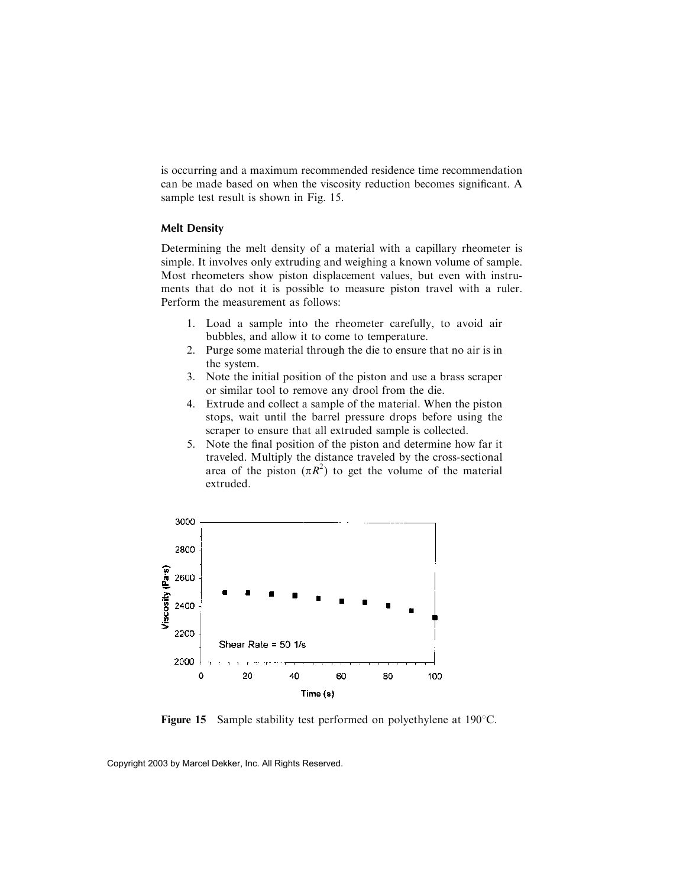is occurring and a maximum recommended residence time recommendation can be made based on when the viscosity reduction becomes significant. A sample test result is shown in Fig. 15.

# Melt Density

Determining the melt density of a material with a capillary rheometer is simple. It involves only extruding and weighing a known volume of sample. Most rheometers show piston displacement values, but even with instruments that do not it is possible to measure piston travel with a ruler. Perform the measurement as follows:

- 1. Load a sample into the rheometer carefully, to avoid air bubbles, and allow it to come to temperature.
- 2. Purge some material through the die to ensure that no air is in the system.
- 3. Note the initial position of the piston and use a brass scraper or similar tool to remove any drool from the die.
- 4. Extrude and collect a sample of the material. When the piston stops, wait until the barrel pressure drops before using the scraper to ensure that all extruded sample is collected.
- 5. Note the final position of the piston and determine how far it traveled. Multiply the distance traveled by the cross-sectional area of the piston  $(\pi R^2)$  to get the volume of the material extruded.



**Figure 15** Sample stability test performed on polyethylene at  $190^{\circ}$ C.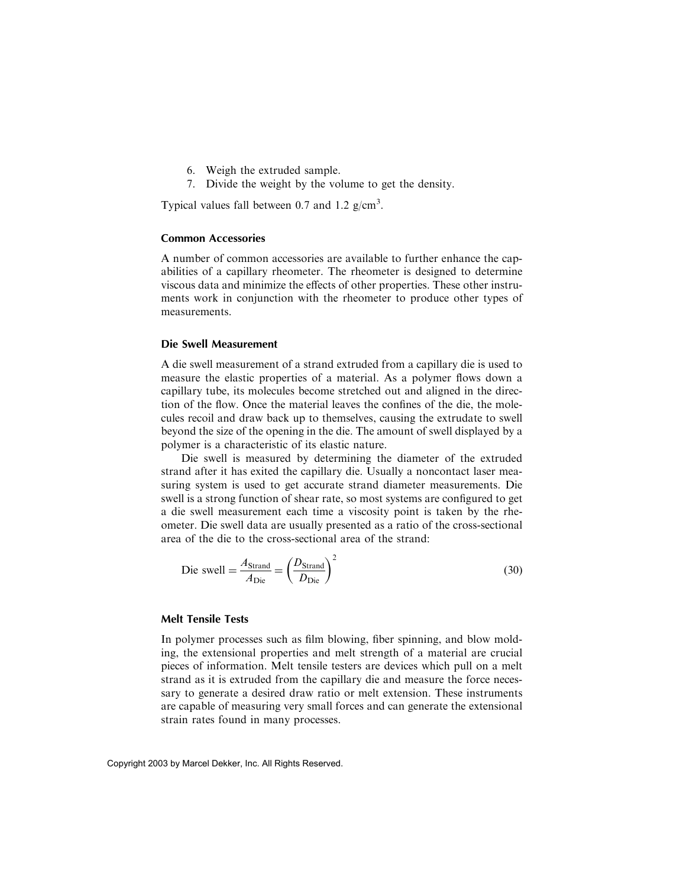- 6. Weigh the extruded sample.
- 7. Divide the weight by the volume to get the density.

Typical values fall between 0.7 and 1.2  $g/cm^3$ .

#### Common Accessories

A number of common accessories are available to further enhance the capabilities of a capillary rheometer. The rheometer is designed to determine viscous data and minimize the effects of other properties. These other instruments work in conjunction with the rheometer to produce other types of measurements.

#### Die Swell Measurement

A die swell measurement of a strand extruded from a capillary die is used to measure the elastic properties of a material. As a polymer flows down a capillary tube, its molecules become stretched out and aligned in the direction of the flow. Once the material leaves the confines of the die, the molecules recoil and draw back up to themselves, causing the extrudate to swell beyond the size of the opening in the die. The amount of swell displayed by a polymer is a characteristic of its elastic nature.

Die swell is measured by determining the diameter of the extruded strand after it has exited the capillary die. Usually a noncontact laser measuring system is used to get accurate strand diameter measurements. Die swell is a strong function of shear rate, so most systems are configured to get a die swell measurement each time a viscosity point is taken by the rheometer. Die swell data are usually presented as a ratio of the cross-sectional area of the die to the cross-sectional area of the strand:

$$
\text{Die swell} = \frac{A_{\text{Strand}}}{A_{\text{Die}}} = \left(\frac{D_{\text{Strand}}}{D_{\text{Die}}}\right)^2 \tag{30}
$$

# Melt Tensile Tests

In polymer processes such as film blowing, fiber spinning, and blow molding, the extensional properties and melt strength of a material are crucial pieces of information. Melt tensile testers are devices which pull on a melt strand as it is extruded from the capillary die and measure the force necessary to generate a desired draw ratio or melt extension. These instruments are capable of measuring very small forces and can generate the extensional strain rates found in many processes.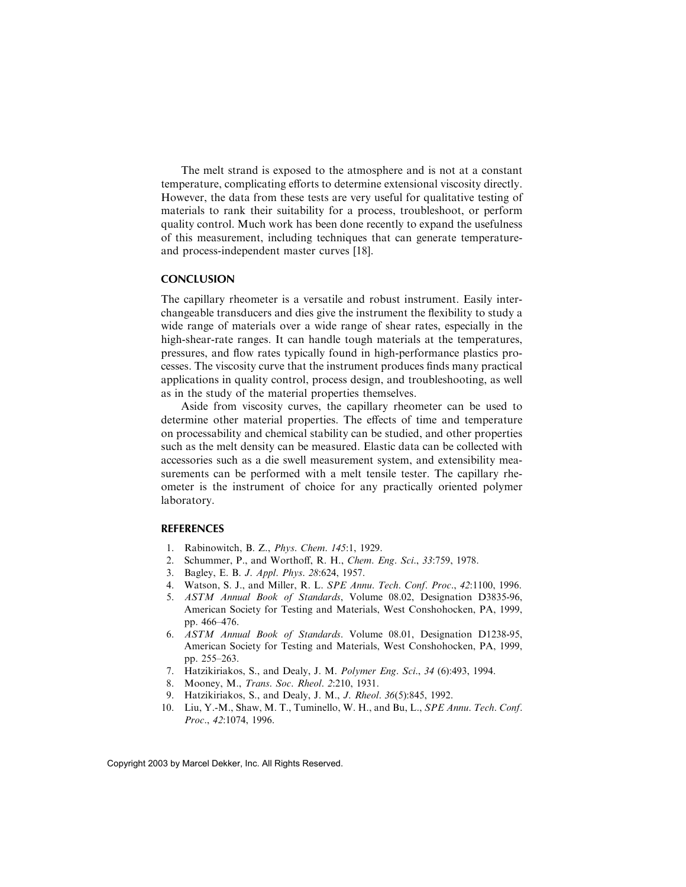The melt strand is exposed to the atmosphere and is not at a constant temperature, complicating efforts to determine extensional viscosity directly. However, the data from these tests are very useful for qualitative testing of materials to rank their suitability for a process, troubleshoot, or perform quality control. Much work has been done recently to expand the usefulness of this measurement, including techniques that can generate temperatureand process-independent master curves [18].

# **CONCLUSION**

The capillary rheometer is a versatile and robust instrument. Easily interchangeable transducers and dies give the instrument the flexibility to study a wide range of materials over a wide range of shear rates, especially in the high-shear-rate ranges. It can handle tough materials at the temperatures, pressures, and flow rates typically found in high-performance plastics processes. The viscosity curve that the instrument produces finds many practical applications in quality control, process design, and troubleshooting, as well as in the study of the material properties themselves.

Aside from viscosity curves, the capillary rheometer can be used to determine other material properties. The effects of time and temperature on processability and chemical stability can be studied, and other properties such as the melt density can be measured. Elastic data can be collected with accessories such as a die swell measurement system, and extensibility measurements can be performed with a melt tensile tester. The capillary rheometer is the instrument of choice for any practically oriented polymer laboratory.

## **REFERENCES**

- 1. Rabinowitch, B. Z., Phys. Chem. 145:1, 1929.
- 2. Schummer, P., and Worthoff, R. H., Chem. Eng. Sci., 33:759, 1978.
- 3. Bagley, E. B. J. Appl. Phys. 28:624, 1957.
- 4. Watson, S. J., and Miller, R. L. SPE Annu. Tech. Conf. Proc., 42:1100, 1996.
- 5. ASTM Annual Book of Standards, Volume 08.02, Designation D3835-96, American Society for Testing and Materials, West Conshohocken, PA, 1999, pp. 466–476.
- 6. ASTM Annual Book of Standards. Volume 08.01, Designation D1238-95, American Society for Testing and Materials, West Conshohocken, PA, 1999, pp. 255–263.
- 7. Hatzikiriakos, S., and Dealy, J. M. Polymer Eng. Sci., 34 (6):493, 1994.
- 8. Mooney, M., Trans. Soc. Rheol. 2:210, 1931.
- 9. Hatzikiriakos, S., and Dealy, J. M., J. Rheol. 36(5):845, 1992.
- 10. Liu, Y.-M., Shaw, M. T., Tuminello, W. H., and Bu, L., SPE Annu. Tech. Conf. Proc., 42:1074, 1996.